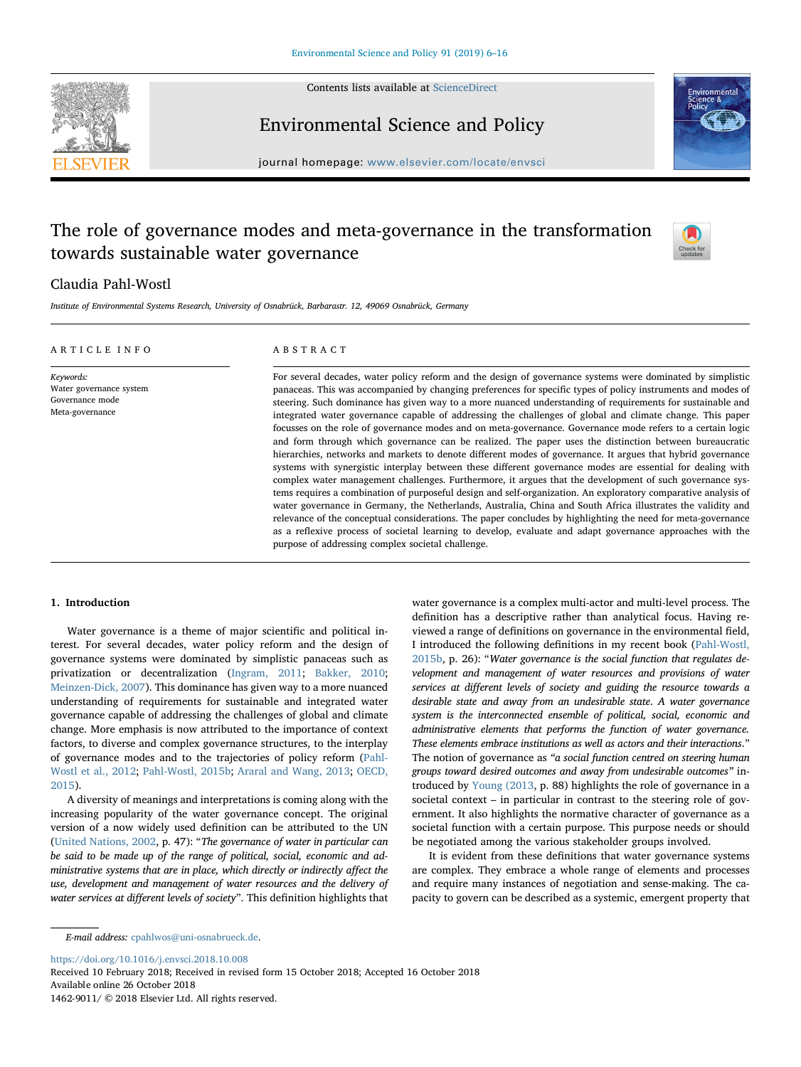

Contents lists available at [ScienceDirect](http://www.sciencedirect.com/science/journal/14629011)

Environmental Science and Policy



journal homepage: [www.elsevier.com/locate/envsci](https://www.elsevier.com/locate/envsci)

# The role of governance modes and meta-governance in the transformation towards sustainable water governance



# Claudia Pahl-Wostl

Institute of Environmental Systems Research, University of Osnabrück, Barbarastr. 12, 49069 Osnabrück, Germany

| ARTICLE INFO                                                               | ABSTRACT                                                                                                                                                                                                                                                                                                                                                                                                                                                                                                                                                                                                                                                                                                                                                                                                                                                                                                                                                                                                                                                                                                                                                                                                                                                                                                                                                                                                                                                                                                                                   |  |  |  |
|----------------------------------------------------------------------------|--------------------------------------------------------------------------------------------------------------------------------------------------------------------------------------------------------------------------------------------------------------------------------------------------------------------------------------------------------------------------------------------------------------------------------------------------------------------------------------------------------------------------------------------------------------------------------------------------------------------------------------------------------------------------------------------------------------------------------------------------------------------------------------------------------------------------------------------------------------------------------------------------------------------------------------------------------------------------------------------------------------------------------------------------------------------------------------------------------------------------------------------------------------------------------------------------------------------------------------------------------------------------------------------------------------------------------------------------------------------------------------------------------------------------------------------------------------------------------------------------------------------------------------------|--|--|--|
| Keywords:<br>Water governance system<br>Governance mode<br>Meta-governance | For several decades, water policy reform and the design of governance systems were dominated by simplistic<br>panaceas. This was accompanied by changing preferences for specific types of policy instruments and modes of<br>steering. Such dominance has given way to a more nuanced understanding of requirements for sustainable and<br>integrated water governance capable of addressing the challenges of global and climate change. This paper<br>focusses on the role of governance modes and on meta-governance. Governance mode refers to a certain logic<br>and form through which governance can be realized. The paper uses the distinction between bureaucratic<br>hierarchies, networks and markets to denote different modes of governance. It argues that hybrid governance<br>systems with synergistic interplay between these different governance modes are essential for dealing with<br>complex water management challenges. Furthermore, it argues that the development of such governance sys-<br>tems requires a combination of purposeful design and self-organization. An exploratory comparative analysis of<br>water governance in Germany, the Netherlands, Australia, China and South Africa illustrates the validity and<br>relevance of the conceptual considerations. The paper concludes by highlighting the need for meta-governance<br>as a reflexive process of societal learning to develop, evaluate and adapt governance approaches with the<br>purpose of addressing complex societal challenge. |  |  |  |

# 1. Introduction

Water governance is a theme of major scientific and political interest. For several decades, water policy reform and the design of governance systems were dominated by simplistic panaceas such as privatization or decentralization [\(Ingram, 2011;](#page-9-0) [Bakker, 2010](#page-9-1); [Meinzen-Dick, 2007](#page-9-2)). This dominance has given way to a more nuanced understanding of requirements for sustainable and integrated water governance capable of addressing the challenges of global and climate change. More emphasis is now attributed to the importance of context factors, to diverse and complex governance structures, to the interplay of governance modes and to the trajectories of policy reform [\(Pahl-](#page-10-0)[Wostl et al., 2012](#page-10-0); [Pahl-Wostl, 2015b;](#page-10-1) [Araral and Wang, 2013](#page-9-3); [OECD,](#page-10-2) [2015\)](#page-10-2).

A diversity of meanings and interpretations is coming along with the increasing popularity of the water governance concept. The original version of a now widely used definition can be attributed to the UN ([United Nations, 2002](#page-10-3), p. 47): "The governance of water in particular can be said to be made up of the range of political, social, economic and administrative systems that are in place, which directly or indirectly affect the use, development and management of water resources and the delivery of water services at different levels of society". This definition highlights that water governance is a complex multi-actor and multi-level process. The definition has a descriptive rather than analytical focus. Having reviewed a range of definitions on governance in the environmental field, I introduced the following definitions in my recent book [\(Pahl-Wostl,](#page-10-1) [2015b,](#page-10-1) p. 26): "Water governance is the social function that regulates development and management of water resources and provisions of water services at different levels of society and guiding the resource towards a desirable state and away from an undesirable state. A water governance system is the interconnected ensemble of political, social, economic and administrative elements that performs the function of water governance. These elements embrace institutions as well as actors and their interactions." The notion of governance as "a social function centred on steering human groups toward desired outcomes and away from undesirable outcomes" introduced by [Young \(2013](#page-10-4), p. 88) highlights the role of governance in a societal context – in particular in contrast to the steering role of government. It also highlights the normative character of governance as a societal function with a certain purpose. This purpose needs or should be negotiated among the various stakeholder groups involved.

It is evident from these definitions that water governance systems are complex. They embrace a whole range of elements and processes and require many instances of negotiation and sense-making. The capacity to govern can be described as a systemic, emergent property that

<https://doi.org/10.1016/j.envsci.2018.10.008>

1462-9011/ © 2018 Elsevier Ltd. All rights reserved.

E-mail address: [cpahlwos@uni-osnabrueck.de](mailto:cpahlwos@uni-osnabrueck.de).

Received 10 February 2018; Received in revised form 15 October 2018; Accepted 16 October 2018 Available online 26 October 2018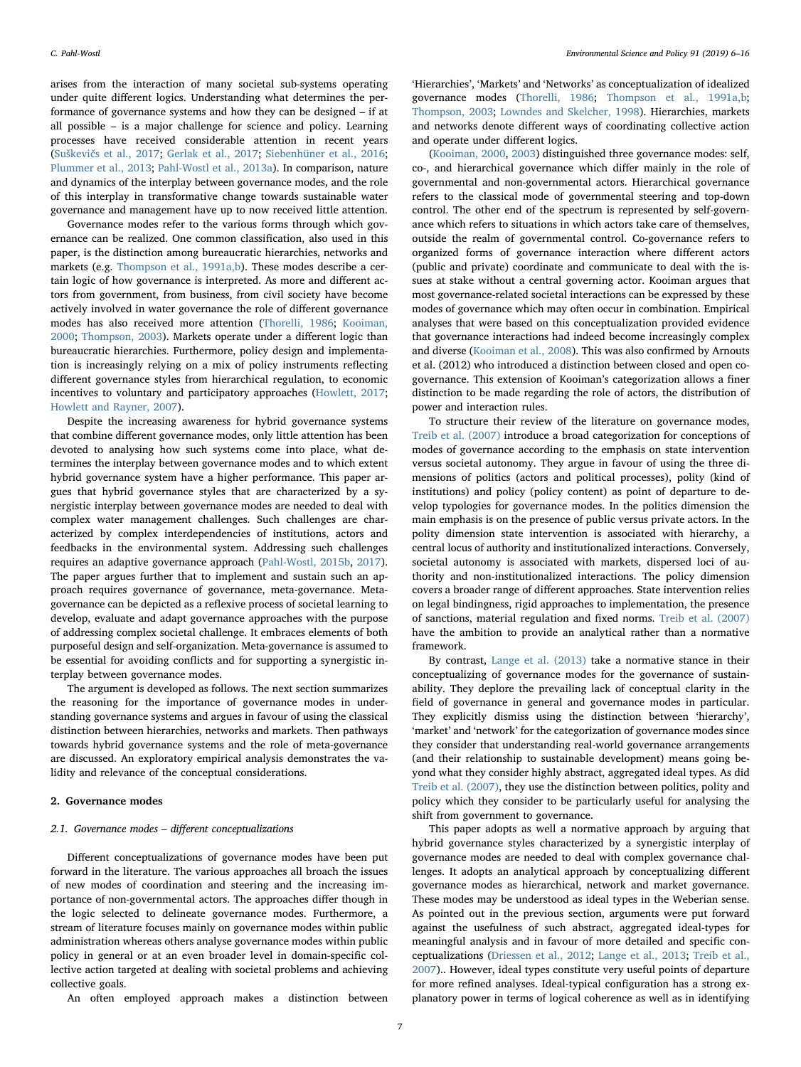arises from the interaction of many societal sub-systems operating under quite different logics. Understanding what determines the performance of governance systems and how they can be designed – if at all possible – is a major challenge for science and policy. Learning processes have received considerable attention in recent years (Suškevič[s et al., 2017;](#page-10-5) [Gerlak et al., 2017](#page-9-4); [Siebenhüner et al., 2016](#page-10-6); [Plummer et al., 2013;](#page-10-7) [Pahl-Wostl et al., 2013a\)](#page-10-8). In comparison, nature and dynamics of the interplay between governance modes, and the role of this interplay in transformative change towards sustainable water governance and management have up to now received little attention.

Governance modes refer to the various forms through which governance can be realized. One common classification, also used in this paper, is the distinction among bureaucratic hierarchies, networks and markets (e.g. [Thompson et al., 1991a,](#page-10-9)[b](#page-10-10)). These modes describe a certain logic of how governance is interpreted. As more and different actors from government, from business, from civil society have become actively involved in water governance the role of different governance modes has also received more attention ([Thorelli, 1986](#page-10-11); [Kooiman,](#page-9-5) [2000;](#page-9-5) [Thompson, 2003\)](#page-10-12). Markets operate under a different logic than bureaucratic hierarchies. Furthermore, policy design and implementation is increasingly relying on a mix of policy instruments reflecting different governance styles from hierarchical regulation, to economic incentives to voluntary and participatory approaches ([Howlett, 2017](#page-9-6); [Howlett and Rayner, 2007\)](#page-9-7).

Despite the increasing awareness for hybrid governance systems that combine different governance modes, only little attention has been devoted to analysing how such systems come into place, what determines the interplay between governance modes and to which extent hybrid governance system have a higher performance. This paper argues that hybrid governance styles that are characterized by a synergistic interplay between governance modes are needed to deal with complex water management challenges. Such challenges are characterized by complex interdependencies of institutions, actors and feedbacks in the environmental system. Addressing such challenges requires an adaptive governance approach [\(Pahl-Wostl, 2015b,](#page-10-1) [2017](#page-10-13)). The paper argues further that to implement and sustain such an approach requires governance of governance, meta-governance. Metagovernance can be depicted as a reflexive process of societal learning to develop, evaluate and adapt governance approaches with the purpose of addressing complex societal challenge. It embraces elements of both purposeful design and self-organization. Meta-governance is assumed to be essential for avoiding conflicts and for supporting a synergistic interplay between governance modes.

The argument is developed as follows. The next section summarizes the reasoning for the importance of governance modes in understanding governance systems and argues in favour of using the classical distinction between hierarchies, networks and markets. Then pathways towards hybrid governance systems and the role of meta-governance are discussed. An exploratory empirical analysis demonstrates the validity and relevance of the conceptual considerations.

# 2. Governance modes

# 2.1. Governance modes – different conceptualizations

Different conceptualizations of governance modes have been put forward in the literature. The various approaches all broach the issues of new modes of coordination and steering and the increasing importance of non-governmental actors. The approaches differ though in the logic selected to delineate governance modes. Furthermore, a stream of literature focuses mainly on governance modes within public administration whereas others analyse governance modes within public policy in general or at an even broader level in domain-specific collective action targeted at dealing with societal problems and achieving collective goals.

An often employed approach makes a distinction between

'Hierarchies', 'Markets' and 'Networks' as conceptualization of idealized governance modes ([Thorelli, 1986;](#page-10-11) [Thompson et al., 1991a,](#page-10-9)[b](#page-10-10); [Thompson, 2003;](#page-10-12) [Lowndes and Skelcher, 1998\)](#page-9-8). Hierarchies, markets and networks denote different ways of coordinating collective action and operate under different logics.

[\(Kooiman, 2000,](#page-9-5) [2003](#page-9-9)) distinguished three governance modes: self, co-, and hierarchical governance which differ mainly in the role of governmental and non-governmental actors. Hierarchical governance refers to the classical mode of governmental steering and top-down control. The other end of the spectrum is represented by self-governance which refers to situations in which actors take care of themselves, outside the realm of governmental control. Co-governance refers to organized forms of governance interaction where different actors (public and private) coordinate and communicate to deal with the issues at stake without a central governing actor. Kooiman argues that most governance-related societal interactions can be expressed by these modes of governance which may often occur in combination. Empirical analyses that were based on this conceptualization provided evidence that governance interactions had indeed become increasingly complex and diverse [\(Kooiman et al., 2008](#page-9-10)). This was also confirmed by Arnouts et al. (2012) who introduced a distinction between closed and open cogovernance. This extension of Kooiman's categorization allows a finer distinction to be made regarding the role of actors, the distribution of power and interaction rules.

To structure their review of the literature on governance modes, [Treib et al. \(2007\)](#page-10-14) introduce a broad categorization for conceptions of modes of governance according to the emphasis on state intervention versus societal autonomy. They argue in favour of using the three dimensions of politics (actors and political processes), polity (kind of institutions) and policy (policy content) as point of departure to develop typologies for governance modes. In the politics dimension the main emphasis is on the presence of public versus private actors. In the polity dimension state intervention is associated with hierarchy, a central locus of authority and institutionalized interactions. Conversely, societal autonomy is associated with markets, dispersed loci of authority and non-institutionalized interactions. The policy dimension covers a broader range of different approaches. State intervention relies on legal bindingness, rigid approaches to implementation, the presence of sanctions, material regulation and fixed norms. [Treib et al. \(2007\)](#page-10-14) have the ambition to provide an analytical rather than a normative framework.

By contrast, [Lange et al. \(2013\)](#page-9-11) take a normative stance in their conceptualizing of governance modes for the governance of sustainability. They deplore the prevailing lack of conceptual clarity in the field of governance in general and governance modes in particular. They explicitly dismiss using the distinction between 'hierarchy', 'market' and 'network' for the categorization of governance modes since they consider that understanding real-world governance arrangements (and their relationship to sustainable development) means going beyond what they consider highly abstract, aggregated ideal types. As did [Treib et al. \(2007\)](#page-10-14), they use the distinction between politics, polity and policy which they consider to be particularly useful for analysing the shift from government to governance.

This paper adopts as well a normative approach by arguing that hybrid governance styles characterized by a synergistic interplay of governance modes are needed to deal with complex governance challenges. It adopts an analytical approach by conceptualizing different governance modes as hierarchical, network and market governance. These modes may be understood as ideal types in the Weberian sense. As pointed out in the previous section, arguments were put forward against the usefulness of such abstract, aggregated ideal-types for meaningful analysis and in favour of more detailed and specific conceptualizations ([Driessen et al., 2012;](#page-9-12) [Lange et al., 2013](#page-9-11); [Treib et al.,](#page-10-14) [2007\)](#page-10-14).. However, ideal types constitute very useful points of departure for more refined analyses. Ideal-typical configuration has a strong explanatory power in terms of logical coherence as well as in identifying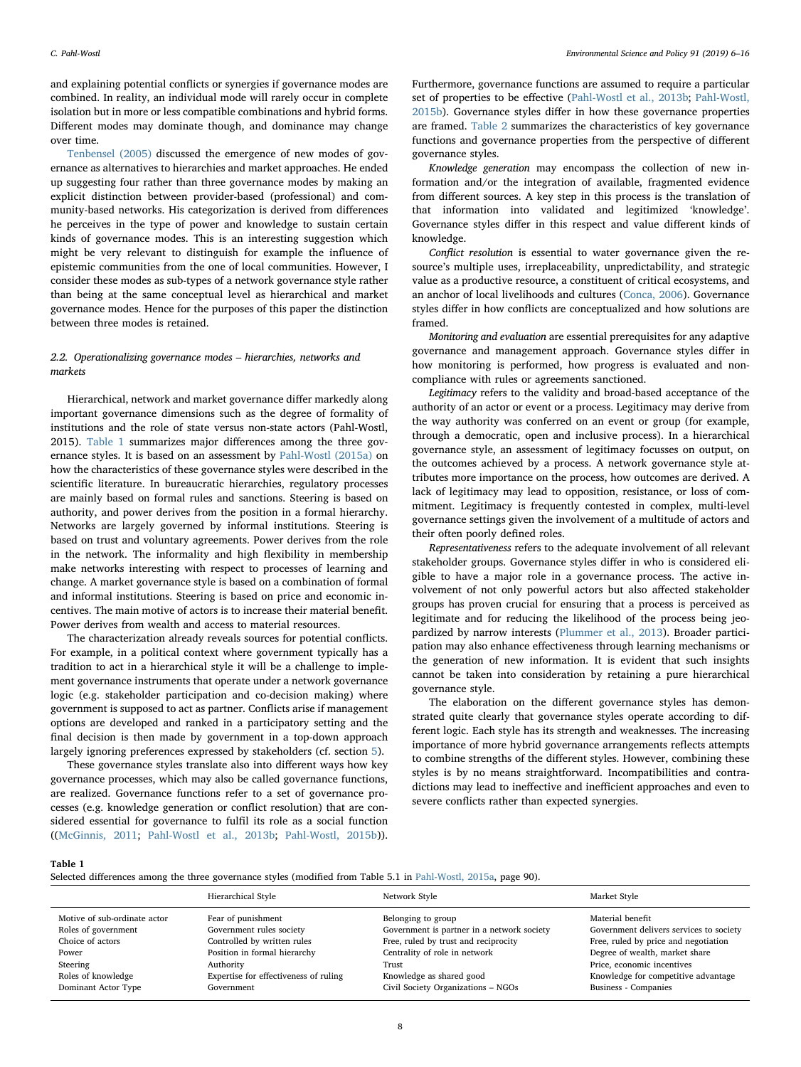and explaining potential conflicts or synergies if governance modes are combined. In reality, an individual mode will rarely occur in complete isolation but in more or less compatible combinations and hybrid forms. Different modes may dominate though, and dominance may change over time.

[Tenbensel \(2005\)](#page-10-15) discussed the emergence of new modes of governance as alternatives to hierarchies and market approaches. He ended up suggesting four rather than three governance modes by making an explicit distinction between provider-based (professional) and community-based networks. His categorization is derived from differences he perceives in the type of power and knowledge to sustain certain kinds of governance modes. This is an interesting suggestion which might be very relevant to distinguish for example the influence of epistemic communities from the one of local communities. However, I consider these modes as sub-types of a network governance style rather than being at the same conceptual level as hierarchical and market governance modes. Hence for the purposes of this paper the distinction between three modes is retained.

# 2.2. Operationalizing governance modes – hierarchies, networks and markets

Hierarchical, network and market governance differ markedly along important governance dimensions such as the degree of formality of institutions and the role of state versus non-state actors (Pahl-Wostl, 2015). [Table 1](#page-2-0) summarizes major differences among the three governance styles. It is based on an assessment by [Pahl-Wostl \(2015a\)](#page-10-16) on how the characteristics of these governance styles were described in the scientific literature. In bureaucratic hierarchies, regulatory processes are mainly based on formal rules and sanctions. Steering is based on authority, and power derives from the position in a formal hierarchy. Networks are largely governed by informal institutions. Steering is based on trust and voluntary agreements. Power derives from the role in the network. The informality and high flexibility in membership make networks interesting with respect to processes of learning and change. A market governance style is based on a combination of formal and informal institutions. Steering is based on price and economic incentives. The main motive of actors is to increase their material benefit. Power derives from wealth and access to material resources.

The characterization already reveals sources for potential conflicts. For example, in a political context where government typically has a tradition to act in a hierarchical style it will be a challenge to implement governance instruments that operate under a network governance logic (e.g. stakeholder participation and co-decision making) where government is supposed to act as partner. Conflicts arise if management options are developed and ranked in a participatory setting and the final decision is then made by government in a top-down approach largely ignoring preferences expressed by stakeholders (cf. section [5\)](#page-5-0).

These governance styles translate also into different ways how key governance processes, which may also be called governance functions, are realized. Governance functions refer to a set of governance processes (e.g. knowledge generation or conflict resolution) that are considered essential for governance to fulfil its role as a social function (([McGinnis, 2011;](#page-9-13) [Pahl-Wostl et al., 2013b;](#page-10-17) [Pahl-Wostl, 2015b](#page-10-1))). Furthermore, governance functions are assumed to require a particular set of properties to be effective [\(Pahl-Wostl et al., 2013b](#page-10-17); [Pahl-Wostl,](#page-10-1) [2015b\)](#page-10-1). Governance styles differ in how these governance properties are framed. [Table 2](#page-3-0) summarizes the characteristics of key governance functions and governance properties from the perspective of different governance styles.

Knowledge generation may encompass the collection of new information and/or the integration of available, fragmented evidence from different sources. A key step in this process is the translation of that information into validated and legitimized 'knowledge'. Governance styles differ in this respect and value different kinds of knowledge.

Conflict resolution is essential to water governance given the resource's multiple uses, irreplaceability, unpredictability, and strategic value as a productive resource, a constituent of critical ecosystems, and an anchor of local livelihoods and cultures ([Conca, 2006](#page-9-14)). Governance styles differ in how conflicts are conceptualized and how solutions are framed.

Monitoring and evaluation are essential prerequisites for any adaptive governance and management approach. Governance styles differ in how monitoring is performed, how progress is evaluated and noncompliance with rules or agreements sanctioned.

Legitimacy refers to the validity and broad-based acceptance of the authority of an actor or event or a process. Legitimacy may derive from the way authority was conferred on an event or group (for example, through a democratic, open and inclusive process). In a hierarchical governance style, an assessment of legitimacy focusses on output, on the outcomes achieved by a process. A network governance style attributes more importance on the process, how outcomes are derived. A lack of legitimacy may lead to opposition, resistance, or loss of commitment. Legitimacy is frequently contested in complex, multi-level governance settings given the involvement of a multitude of actors and their often poorly defined roles.

Representativeness refers to the adequate involvement of all relevant stakeholder groups. Governance styles differ in who is considered eligible to have a major role in a governance process. The active involvement of not only powerful actors but also affected stakeholder groups has proven crucial for ensuring that a process is perceived as legitimate and for reducing the likelihood of the process being jeopardized by narrow interests [\(Plummer et al., 2013](#page-10-7)). Broader participation may also enhance effectiveness through learning mechanisms or the generation of new information. It is evident that such insights cannot be taken into consideration by retaining a pure hierarchical governance style.

The elaboration on the different governance styles has demonstrated quite clearly that governance styles operate according to different logic. Each style has its strength and weaknesses. The increasing importance of more hybrid governance arrangements reflects attempts to combine strengths of the different styles. However, combining these styles is by no means straightforward. Incompatibilities and contradictions may lead to ineffective and inefficient approaches and even to severe conflicts rather than expected synergies.

#### <span id="page-2-0"></span>Table 1

Selected differences among the three governance styles (modified from Table 5.1 in [Pahl-Wostl, 2015a,](#page-10-16) page 90).

|                                                                                                                                           | Hierarchical Style                                                                                                                                                                | Network Style                                                                                                                                                                                                        | Market Style                                                                                                                                                                                                                       |
|-------------------------------------------------------------------------------------------------------------------------------------------|-----------------------------------------------------------------------------------------------------------------------------------------------------------------------------------|----------------------------------------------------------------------------------------------------------------------------------------------------------------------------------------------------------------------|------------------------------------------------------------------------------------------------------------------------------------------------------------------------------------------------------------------------------------|
| Motive of sub-ordinate actor<br>Roles of government<br>Choice of actors<br>Power<br>Steering<br>Roles of knowledge<br>Dominant Actor Type | Fear of punishment<br>Government rules society<br>Controlled by written rules<br>Position in formal hierarchy<br>Authority<br>Expertise for effectiveness of ruling<br>Government | Belonging to group<br>Government is partner in a network society<br>Free, ruled by trust and reciprocity<br>Centrality of role in network<br>Trust<br>Knowledge as shared good<br>Civil Society Organizations - NGOs | Material benefit<br>Government delivers services to society<br>Free, ruled by price and negotiation<br>Degree of wealth, market share<br>Price, economic incentives<br>Knowledge for competitive advantage<br>Business - Companies |
|                                                                                                                                           |                                                                                                                                                                                   |                                                                                                                                                                                                                      |                                                                                                                                                                                                                                    |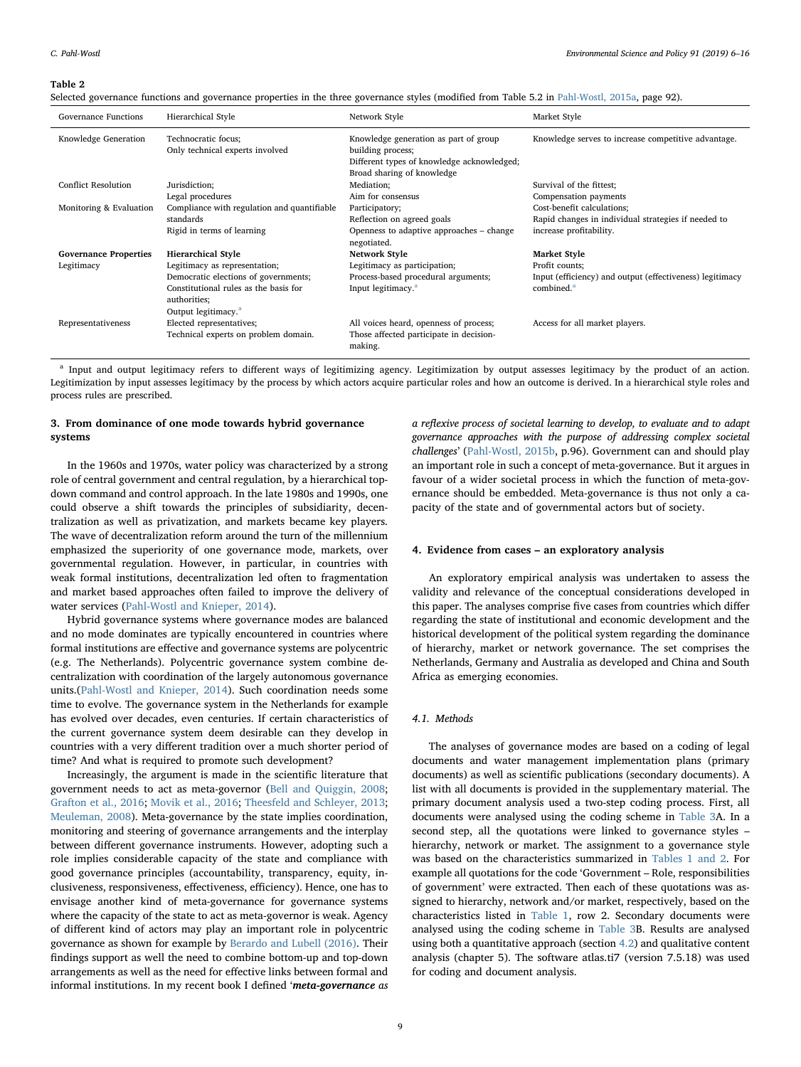#### <span id="page-3-0"></span>Table 2

Selected governance functions and governance properties in the three governance styles (modified from Table 5.2 in [Pahl-Wostl, 2015a](#page-10-16), page 92).

| Governance Functions         | Hierarchical Style                                                                                                               | Network Style                                                                                                                          | Market Style                                                                       |
|------------------------------|----------------------------------------------------------------------------------------------------------------------------------|----------------------------------------------------------------------------------------------------------------------------------------|------------------------------------------------------------------------------------|
| Knowledge Generation         | Technocratic focus;<br>Only technical experts involved                                                                           | Knowledge generation as part of group<br>building process;<br>Different types of knowledge acknowledged;<br>Broad sharing of knowledge | Knowledge serves to increase competitive advantage.                                |
| <b>Conflict Resolution</b>   | Jurisdiction;                                                                                                                    | Mediation;                                                                                                                             | Survival of the fittest;                                                           |
|                              | Legal procedures                                                                                                                 | Aim for consensus                                                                                                                      | Compensation payments                                                              |
| Monitoring & Evaluation      | Compliance with regulation and quantifiable                                                                                      | Participatory;                                                                                                                         | Cost-benefit calculations;                                                         |
|                              | standards                                                                                                                        | Reflection on agreed goals                                                                                                             | Rapid changes in individual strategies if needed to                                |
|                              | Rigid in terms of learning                                                                                                       | Openness to adaptive approaches - change<br>negotiated.                                                                                | increase profitability.                                                            |
| <b>Governance Properties</b> | <b>Hierarchical Style</b>                                                                                                        | Network Style                                                                                                                          | <b>Market Style</b>                                                                |
| Legitimacy                   | Legitimacy as representation;                                                                                                    | Legitimacy as participation;                                                                                                           | Profit counts;                                                                     |
|                              | Democratic elections of governments;<br>Constitutional rules as the basis for<br>authorities;<br>Output legitimacy. <sup>a</sup> | Process-based procedural arguments;<br>Input legitimacy. <sup>a</sup>                                                                  | Input (efficiency) and output (effectiveness) legitimacy<br>combined. <sup>a</sup> |
| Representativeness           | Elected representatives;<br>Technical experts on problem domain.                                                                 | All voices heard, openness of process;<br>Those affected participate in decision-<br>making.                                           | Access for all market players.                                                     |

<span id="page-3-1"></span><sup>a</sup> Input and output legitimacy refers to different ways of legitimizing agency. Legitimization by output assesses legitimacy by the product of an action. Legitimization by input assesses legitimacy by the process by which actors acquire particular roles and how an outcome is derived. In a hierarchical style roles and process rules are prescribed.

# 3. From dominance of one mode towards hybrid governance systems

In the 1960s and 1970s, water policy was characterized by a strong role of central government and central regulation, by a hierarchical topdown command and control approach. In the late 1980s and 1990s, one could observe a shift towards the principles of subsidiarity, decentralization as well as privatization, and markets became key players. The wave of decentralization reform around the turn of the millennium emphasized the superiority of one governance mode, markets, over governmental regulation. However, in particular, in countries with weak formal institutions, decentralization led often to fragmentation and market based approaches often failed to improve the delivery of water services ([Pahl-Wostl and Knieper, 2014](#page-10-18)).

Hybrid governance systems where governance modes are balanced and no mode dominates are typically encountered in countries where formal institutions are effective and governance systems are polycentric (e.g. The Netherlands). Polycentric governance system combine decentralization with coordination of the largely autonomous governance units.[\(Pahl-Wostl and Knieper, 2014](#page-10-18)). Such coordination needs some time to evolve. The governance system in the Netherlands for example has evolved over decades, even centuries. If certain characteristics of the current governance system deem desirable can they develop in countries with a very different tradition over a much shorter period of time? And what is required to promote such development?

Increasingly, the argument is made in the scientific literature that government needs to act as meta-governor ([Bell and Quiggin, 2008](#page-9-15); [Grafton et al., 2016](#page-9-16); [Movik et al., 2016](#page-9-17); [Theesfeld and Schleyer, 2013](#page-10-19); [Meuleman, 2008\)](#page-9-18). Meta-governance by the state implies coordination, monitoring and steering of governance arrangements and the interplay between different governance instruments. However, adopting such a role implies considerable capacity of the state and compliance with good governance principles (accountability, transparency, equity, inclusiveness, responsiveness, effectiveness, efficiency). Hence, one has to envisage another kind of meta-governance for governance systems where the capacity of the state to act as meta-governor is weak. Agency of different kind of actors may play an important role in polycentric governance as shown for example by [Berardo and Lubell \(2016\)](#page-9-19). Their findings support as well the need to combine bottom-up and top-down arrangements as well as the need for effective links between formal and informal institutions. In my recent book I defined 'meta-governance as a reflexive process of societal learning to develop, to evaluate and to adapt governance approaches with the purpose of addressing complex societal challenges' ([Pahl-Wostl, 2015b,](#page-10-1) p.96). Government can and should play an important role in such a concept of meta-governance. But it argues in favour of a wider societal process in which the function of meta-governance should be embedded. Meta-governance is thus not only a capacity of the state and of governmental actors but of society.

#### 4. Evidence from cases – an exploratory analysis

An exploratory empirical analysis was undertaken to assess the validity and relevance of the conceptual considerations developed in this paper. The analyses comprise five cases from countries which differ regarding the state of institutional and economic development and the historical development of the political system regarding the dominance of hierarchy, market or network governance. The set comprises the Netherlands, Germany and Australia as developed and China and South Africa as emerging economies.

#### 4.1. Methods

The analyses of governance modes are based on a coding of legal documents and water management implementation plans (primary documents) as well as scientific publications (secondary documents). A list with all documents is provided in the supplementary material. The primary document analysis used a two-step coding process. First, all documents were analysed using the coding scheme in [Table 3](#page-4-0)A. In a second step, all the quotations were linked to governance styles – hierarchy, network or market. The assignment to a governance style was based on the characteristics summarized in [Tables 1 and 2](#page-2-0). For example all quotations for the code 'Government – Role, responsibilities of government' were extracted. Then each of these quotations was assigned to hierarchy, network and/or market, respectively, based on the characteristics listed in [Table 1](#page-2-0), row 2. Secondary documents were analysed using the coding scheme in [Table 3B](#page-4-0). Results are analysed using both a quantitative approach (section [4.2\)](#page-4-1) and qualitative content analysis (chapter 5). The software atlas.ti7 (version 7.5.18) was used for coding and document analysis.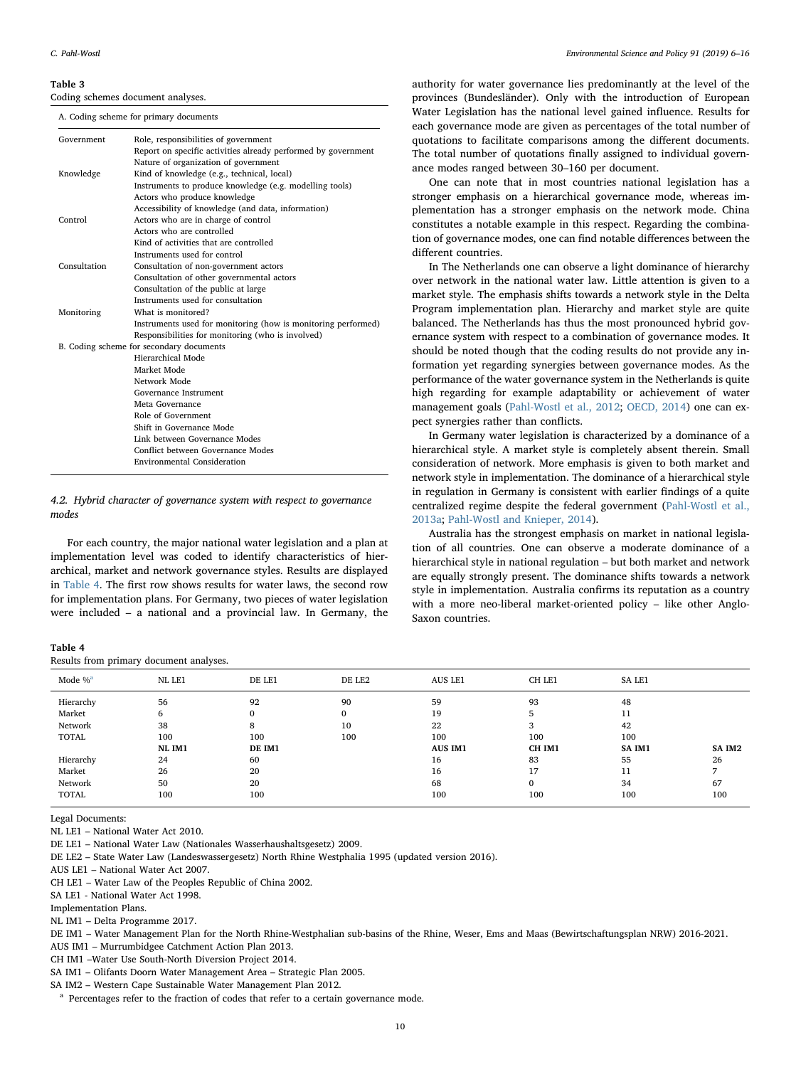#### <span id="page-4-0"></span>Table 3

Coding schemes document analyses.

A. Coding scheme for primary documents

| Government   | Role, responsibilities of government                          |
|--------------|---------------------------------------------------------------|
|              | Report on specific activities already performed by government |
|              | Nature of organization of government                          |
| Knowledge    | Kind of knowledge (e.g., technical, local)                    |
|              | Instruments to produce knowledge (e.g. modelling tools)       |
|              | Actors who produce knowledge                                  |
|              | Accessibility of knowledge (and data, information)            |
| Control      | Actors who are in charge of control                           |
|              | Actors who are controlled                                     |
|              | Kind of activities that are controlled                        |
|              | Instruments used for control                                  |
| Consultation | Consultation of non-government actors                         |
|              | Consultation of other governmental actors                     |
|              | Consultation of the public at large                           |
|              | Instruments used for consultation                             |
| Monitoring   | What is monitored?                                            |
|              | Instruments used for monitoring (how is monitoring performed) |
|              | Responsibilities for monitoring (who is involved)             |
|              | B. Coding scheme for secondary documents                      |
|              | Hierarchical Mode                                             |
|              | Market Mode                                                   |
|              | Network Mode                                                  |
|              | Governance Instrument                                         |
|              | Meta Governance                                               |
|              | Role of Government                                            |
|              | Shift in Governance Mode                                      |
|              | Link between Governance Modes                                 |
|              | Conflict between Governance Modes                             |
|              | <b>Environmental Consideration</b>                            |

#### <span id="page-4-1"></span>4.2. Hybrid character of governance system with respect to governance modes

For each country, the major national water legislation and a plan at implementation level was coded to identify characteristics of hierarchical, market and network governance styles. Results are displayed in [Table 4.](#page-4-2) The first row shows results for water laws, the second row for implementation plans. For Germany, two pieces of water legislation were included – a national and a provincial law. In Germany, the

<span id="page-4-2"></span>

| Table 4                                |  |  |
|----------------------------------------|--|--|
| Results from primary document analyses |  |  |

authority for water governance lies predominantly at the level of the provinces (Bundesländer). Only with the introduction of European Water Legislation has the national level gained influence. Results for each governance mode are given as percentages of the total number of quotations to facilitate comparisons among the different documents. The total number of quotations finally assigned to individual governance modes ranged between 30–160 per document.

One can note that in most countries national legislation has a stronger emphasis on a hierarchical governance mode, whereas implementation has a stronger emphasis on the network mode. China constitutes a notable example in this respect. Regarding the combination of governance modes, one can find notable differences between the different countries.

In The Netherlands one can observe a light dominance of hierarchy over network in the national water law. Little attention is given to a market style. The emphasis shifts towards a network style in the Delta Program implementation plan. Hierarchy and market style are quite balanced. The Netherlands has thus the most pronounced hybrid governance system with respect to a combination of governance modes. It should be noted though that the coding results do not provide any information yet regarding synergies between governance modes. As the performance of the water governance system in the Netherlands is quite high regarding for example adaptability or achievement of water management goals ([Pahl-Wostl et al., 2012](#page-10-0); [OECD, 2014](#page-10-20)) one can expect synergies rather than conflicts.

In Germany water legislation is characterized by a dominance of a hierarchical style. A market style is completely absent therein. Small consideration of network. More emphasis is given to both market and network style in implementation. The dominance of a hierarchical style in regulation in Germany is consistent with earlier findings of a quite centralized regime despite the federal government [\(Pahl-Wostl et al.,](#page-10-8) [2013a;](#page-10-8) [Pahl-Wostl and Knieper, 2014](#page-10-18)).

Australia has the strongest emphasis on market in national legislation of all countries. One can observe a moderate dominance of a hierarchical style in national regulation – but both market and network are equally strongly present. The dominance shifts towards a network style in implementation. Australia confirms its reputation as a country with a more neo-liberal market-oriented policy – like other Anglo-Saxon countries.

| Mode $%$ <sup>a</sup>                   | NL LE1                         | DE LE1                        | DE LE2               | AUS LE1                                 | CH LE1                        | SA LE1                          |                 |
|-----------------------------------------|--------------------------------|-------------------------------|----------------------|-----------------------------------------|-------------------------------|---------------------------------|-----------------|
| Hierarchy<br>Market<br>Network<br>TOTAL | 56<br>6<br>38<br>100<br>NL IM1 | 92<br>0<br>8<br>100<br>DE IM1 | 90<br>0<br>10<br>100 | 59<br>19<br>22<br>100<br><b>AUS IM1</b> | 93<br>h<br>3<br>100<br>CH IM1 | 48<br>11<br>42<br>100<br>SA IM1 | SA IM2          |
| Hierarchy<br>Market<br>Network<br>TOTAL | 24<br>26<br>50<br>100          | 60<br>20<br>20<br>100         |                      | 16<br>16<br>68<br>100                   | 83<br>17<br>0<br>100          | 55<br>11<br>34<br>100           | 26<br>67<br>100 |

Legal Documents:

NL LE1 – National Water Act 2010.

DE LE1 – National Water Law (Nationales Wasserhaushaltsgesetz) 2009.

DE LE2 – State Water Law (Landeswassergesetz) North Rhine Westphalia 1995 (updated version 2016).

AUS LE1 – National Water Act 2007.

CH LE1 – Water Law of the Peoples Republic of China 2002.

SA LE1 - National Water Act 1998.

Implementation Plans.

NL IM1 – Delta Programme 2017.

DE IM1 – Water Management Plan for the North Rhine-Westphalian sub-basins of the Rhine, Weser, Ems and Maas (Bewirtschaftungsplan NRW) 2016-2021.

AUS IM1 – Murrumbidgee Catchment Action Plan 2013.

CH IM1 –Water Use South-North Diversion Project 2014.

SA IM1 – Olifants Doorn Water Management Area – Strategic Plan 2005.

SA IM2 – Western Cape Sustainable Water Management Plan 2012.

<span id="page-4-3"></span><sup>a</sup> Percentages refer to the fraction of codes that refer to a certain governance mode.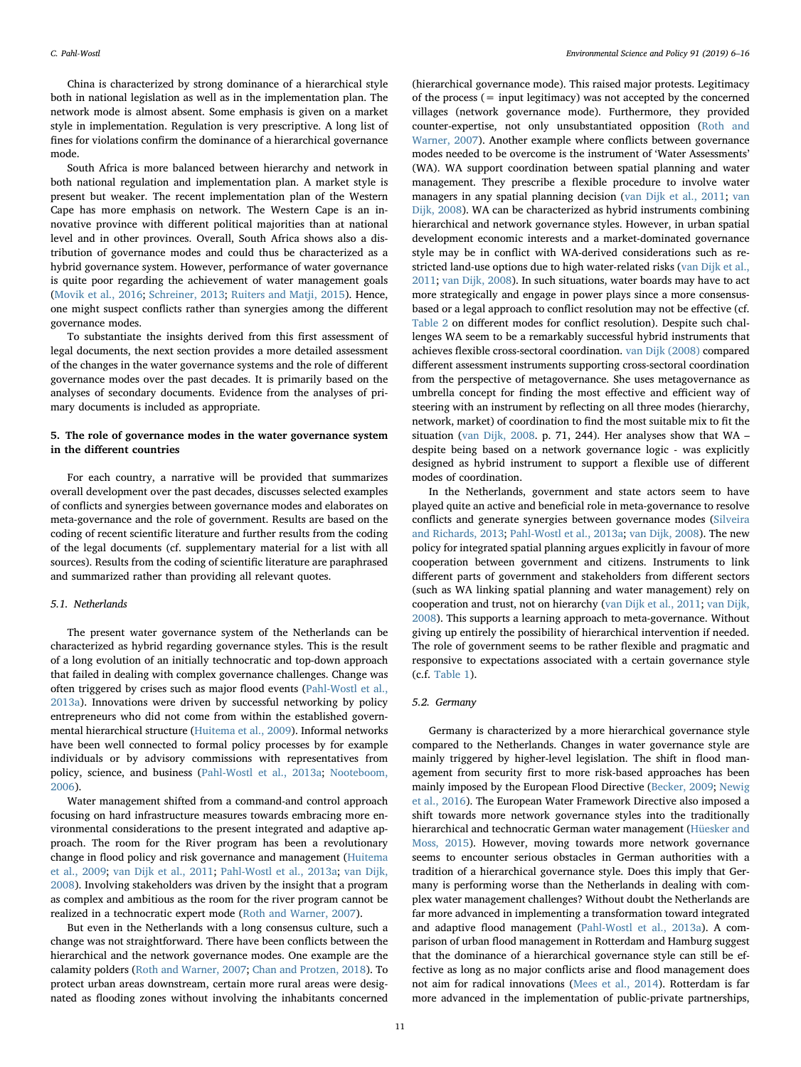China is characterized by strong dominance of a hierarchical style both in national legislation as well as in the implementation plan. The network mode is almost absent. Some emphasis is given on a market style in implementation. Regulation is very prescriptive. A long list of fines for violations confirm the dominance of a hierarchical governance mode.

South Africa is more balanced between hierarchy and network in both national regulation and implementation plan. A market style is present but weaker. The recent implementation plan of the Western Cape has more emphasis on network. The Western Cape is an innovative province with different political majorities than at national level and in other provinces. Overall, South Africa shows also a distribution of governance modes and could thus be characterized as a hybrid governance system. However, performance of water governance is quite poor regarding the achievement of water management goals ([Movik et al., 2016](#page-9-17); [Schreiner, 2013](#page-10-21); [Ruiters and Matji, 2015\)](#page-10-22). Hence, one might suspect conflicts rather than synergies among the different governance modes.

To substantiate the insights derived from this first assessment of legal documents, the next section provides a more detailed assessment of the changes in the water governance systems and the role of different governance modes over the past decades. It is primarily based on the analyses of secondary documents. Evidence from the analyses of primary documents is included as appropriate.

# <span id="page-5-0"></span>5. The role of governance modes in the water governance system in the different countries

For each country, a narrative will be provided that summarizes overall development over the past decades, discusses selected examples of conflicts and synergies between governance modes and elaborates on meta-governance and the role of government. Results are based on the coding of recent scientific literature and further results from the coding of the legal documents (cf. supplementary material for a list with all sources). Results from the coding of scientific literature are paraphrased and summarized rather than providing all relevant quotes.

# 5.1. Netherlands

The present water governance system of the Netherlands can be characterized as hybrid regarding governance styles. This is the result of a long evolution of an initially technocratic and top-down approach that failed in dealing with complex governance challenges. Change was often triggered by crises such as major flood events ([Pahl-Wostl et al.,](#page-10-8) [2013a\)](#page-10-8). Innovations were driven by successful networking by policy entrepreneurs who did not come from within the established governmental hierarchical structure ([Huitema et al., 2009\)](#page-9-20). Informal networks have been well connected to formal policy processes by for example individuals or by advisory commissions with representatives from policy, science, and business ([Pahl-Wostl et al., 2013a](#page-10-8); [Nooteboom,](#page-10-23) [2006\)](#page-10-23).

Water management shifted from a command-and control approach focusing on hard infrastructure measures towards embracing more environmental considerations to the present integrated and adaptive approach. The room for the River program has been a revolutionary change in flood policy and risk governance and management [\(Huitema](#page-9-20) [et al., 2009](#page-9-20); [van Dijk et al., 2011](#page-10-24); [Pahl-Wostl et al., 2013a;](#page-10-8) [van Dijk,](#page-10-25) [2008\)](#page-10-25). Involving stakeholders was driven by the insight that a program as complex and ambitious as the room for the river program cannot be realized in a technocratic expert mode ([Roth and Warner, 2007\)](#page-10-26).

But even in the Netherlands with a long consensus culture, such a change was not straightforward. There have been conflicts between the hierarchical and the network governance modes. One example are the calamity polders ([Roth and Warner, 2007](#page-10-26); [Chan and Protzen, 2018](#page-9-21)). To protect urban areas downstream, certain more rural areas were designated as flooding zones without involving the inhabitants concerned

(hierarchical governance mode). This raised major protests. Legitimacy of the process  $(=$  input legitimacy) was not accepted by the concerned villages (network governance mode). Furthermore, they provided counter-expertise, not only unsubstantiated opposition ([Roth and](#page-10-26) [Warner, 2007\)](#page-10-26). Another example where conflicts between governance modes needed to be overcome is the instrument of 'Water Assessments' (WA). WA support coordination between spatial planning and water management. They prescribe a flexible procedure to involve water managers in any spatial planning decision ([van Dijk et al., 2011;](#page-10-24) [van](#page-10-25) [Dijk, 2008\)](#page-10-25). WA can be characterized as hybrid instruments combining hierarchical and network governance styles. However, in urban spatial development economic interests and a market-dominated governance style may be in conflict with WA-derived considerations such as restricted land-use options due to high water-related risks ([van Dijk et al.,](#page-10-24) [2011;](#page-10-24) [van Dijk, 2008\)](#page-10-25). In such situations, water boards may have to act more strategically and engage in power plays since a more consensusbased or a legal approach to conflict resolution may not be effective (cf. [Table 2](#page-3-0) on different modes for conflict resolution). Despite such challenges WA seem to be a remarkably successful hybrid instruments that achieves flexible cross-sectoral coordination. [van Dijk \(2008\)](#page-10-25) compared different assessment instruments supporting cross-sectoral coordination from the perspective of metagovernance. She uses metagovernance as umbrella concept for finding the most effective and efficient way of steering with an instrument by reflecting on all three modes (hierarchy, network, market) of coordination to find the most suitable mix to fit the situation ([van Dijk, 2008.](#page-10-25) p. 71, 244). Her analyses show that WA – despite being based on a network governance logic - was explicitly designed as hybrid instrument to support a flexible use of different modes of coordination.

In the Netherlands, government and state actors seem to have played quite an active and beneficial role in meta-governance to resolve conflicts and generate synergies between governance modes [\(Silveira](#page-10-27) [and Richards, 2013;](#page-10-27) [Pahl-Wostl et al., 2013a;](#page-10-8) [van Dijk, 2008](#page-10-25)). The new policy for integrated spatial planning argues explicitly in favour of more cooperation between government and citizens. Instruments to link different parts of government and stakeholders from different sectors (such as WA linking spatial planning and water management) rely on cooperation and trust, not on hierarchy [\(van Dijk et al., 2011;](#page-10-24) [van Dijk,](#page-10-25) [2008\)](#page-10-25). This supports a learning approach to meta-governance. Without giving up entirely the possibility of hierarchical intervention if needed. The role of government seems to be rather flexible and pragmatic and responsive to expectations associated with a certain governance style (c.f. [Table 1\)](#page-2-0).

#### 5.2. Germany

Germany is characterized by a more hierarchical governance style compared to the Netherlands. Changes in water governance style are mainly triggered by higher-level legislation. The shift in flood management from security first to more risk-based approaches has been mainly imposed by the European Flood Directive [\(Becker, 2009;](#page-9-22) [Newig](#page-9-23) [et al., 2016\)](#page-9-23). The European Water Framework Directive also imposed a shift towards more network governance styles into the traditionally hierarchical and technocratic German water management ([Hüesker and](#page-9-24) [Moss, 2015](#page-9-24)). However, moving towards more network governance seems to encounter serious obstacles in German authorities with a tradition of a hierarchical governance style. Does this imply that Germany is performing worse than the Netherlands in dealing with complex water management challenges? Without doubt the Netherlands are far more advanced in implementing a transformation toward integrated and adaptive flood management [\(Pahl-Wostl et al., 2013a\)](#page-10-8). A comparison of urban flood management in Rotterdam and Hamburg suggest that the dominance of a hierarchical governance style can still be effective as long as no major conflicts arise and flood management does not aim for radical innovations ([Mees et al., 2014\)](#page-9-25). Rotterdam is far more advanced in the implementation of public-private partnerships,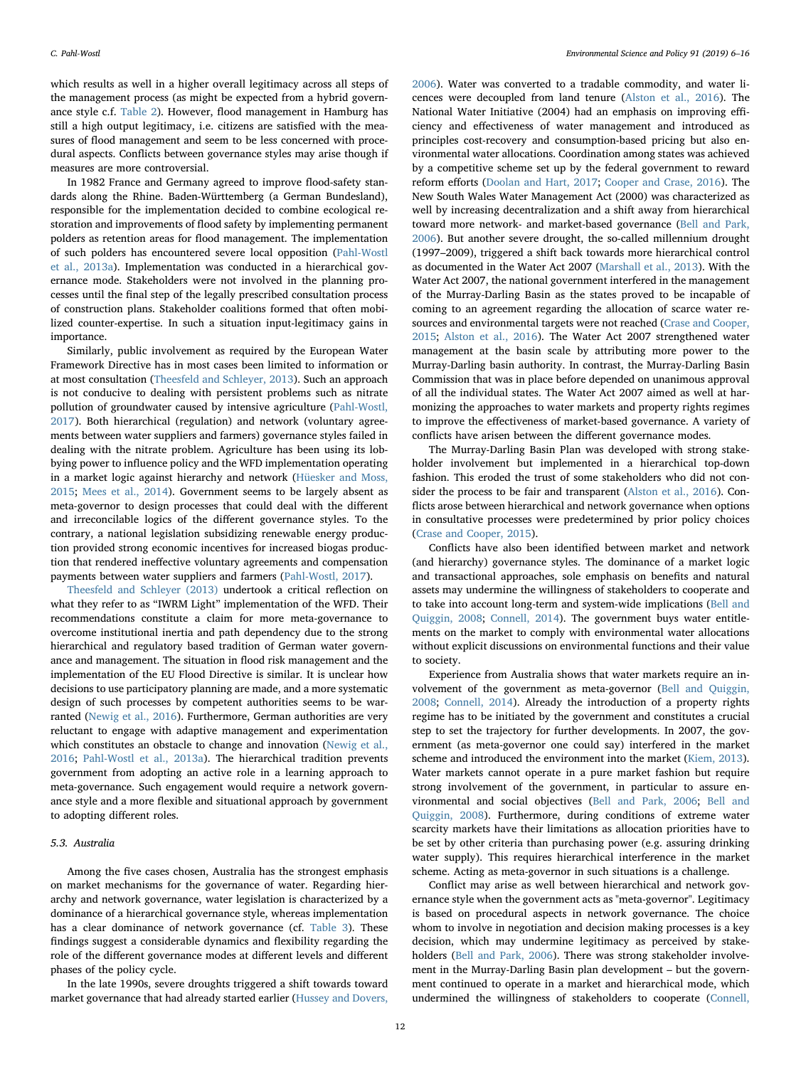which results as well in a higher overall legitimacy across all steps of the management process (as might be expected from a hybrid governance style c.f. [Table 2\)](#page-3-0). However, flood management in Hamburg has still a high output legitimacy, i.e. citizens are satisfied with the measures of flood management and seem to be less concerned with procedural aspects. Conflicts between governance styles may arise though if measures are more controversial.

In 1982 France and Germany agreed to improve flood-safety standards along the Rhine. Baden-Württemberg (a German Bundesland), responsible for the implementation decided to combine ecological restoration and improvements of flood safety by implementing permanent polders as retention areas for flood management. The implementation of such polders has encountered severe local opposition ([Pahl-Wostl](#page-10-8) [et al., 2013a](#page-10-8)). Implementation was conducted in a hierarchical governance mode. Stakeholders were not involved in the planning processes until the final step of the legally prescribed consultation process of construction plans. Stakeholder coalitions formed that often mobilized counter-expertise. In such a situation input-legitimacy gains in importance.

Similarly, public involvement as required by the European Water Framework Directive has in most cases been limited to information or at most consultation ([Theesfeld and Schleyer, 2013](#page-10-19)). Such an approach is not conducive to dealing with persistent problems such as nitrate pollution of groundwater caused by intensive agriculture [\(Pahl-Wostl,](#page-10-13) [2017\)](#page-10-13). Both hierarchical (regulation) and network (voluntary agreements between water suppliers and farmers) governance styles failed in dealing with the nitrate problem. Agriculture has been using its lobbying power to influence policy and the WFD implementation operating in a market logic against hierarchy and network [\(Hüesker and Moss,](#page-9-24) [2015;](#page-9-24) [Mees et al., 2014](#page-9-25)). Government seems to be largely absent as meta-governor to design processes that could deal with the different and irreconcilable logics of the different governance styles. To the contrary, a national legislation subsidizing renewable energy production provided strong economic incentives for increased biogas production that rendered ineffective voluntary agreements and compensation payments between water suppliers and farmers [\(Pahl-Wostl, 2017](#page-10-13)).

[Theesfeld and Schleyer \(2013\)](#page-10-19) undertook a critical reflection on what they refer to as "IWRM Light" implementation of the WFD. Their recommendations constitute a claim for more meta-governance to overcome institutional inertia and path dependency due to the strong hierarchical and regulatory based tradition of German water governance and management. The situation in flood risk management and the implementation of the EU Flood Directive is similar. It is unclear how decisions to use participatory planning are made, and a more systematic design of such processes by competent authorities seems to be warranted ([Newig et al., 2016\)](#page-9-23). Furthermore, German authorities are very reluctant to engage with adaptive management and experimentation which constitutes an obstacle to change and innovation [\(Newig et al.,](#page-9-23) [2016;](#page-9-23) [Pahl-Wostl et al., 2013a](#page-10-8)). The hierarchical tradition prevents government from adopting an active role in a learning approach to meta-governance. Such engagement would require a network governance style and a more flexible and situational approach by government to adopting different roles.

## 5.3. Australia

Among the five cases chosen, Australia has the strongest emphasis on market mechanisms for the governance of water. Regarding hierarchy and network governance, water legislation is characterized by a dominance of a hierarchical governance style, whereas implementation has a clear dominance of network governance (cf. [Table 3\)](#page-4-0). These findings suggest a considerable dynamics and flexibility regarding the role of the different governance modes at different levels and different phases of the policy cycle.

In the late 1990s, severe droughts triggered a shift towards toward market governance that had already started earlier [\(Hussey and Dovers,](#page-9-26)

[2006\)](#page-9-26). Water was converted to a tradable commodity, and water licences were decoupled from land tenure [\(Alston et al., 2016](#page-9-27)). The National Water Initiative (2004) had an emphasis on improving efficiency and effectiveness of water management and introduced as principles cost-recovery and consumption-based pricing but also environmental water allocations. Coordination among states was achieved by a competitive scheme set up by the federal government to reward reform efforts ([Doolan and Hart, 2017;](#page-9-28) [Cooper and Crase, 2016](#page-9-29)). The New South Wales Water Management Act (2000) was characterized as well by increasing decentralization and a shift away from hierarchical toward more network- and market-based governance ([Bell and Park,](#page-9-30) [2006\)](#page-9-30). But another severe drought, the so-called millennium drought (1997–2009), triggered a shift back towards more hierarchical control as documented in the Water Act 2007 [\(Marshall et al., 2013](#page-9-31)). With the Water Act 2007, the national government interfered in the management of the Murray-Darling Basin as the states proved to be incapable of coming to an agreement regarding the allocation of scarce water resources and environmental targets were not reached [\(Crase and Cooper,](#page-9-32) [2015;](#page-9-32) [Alston et al., 2016\)](#page-9-27). The Water Act 2007 strengthened water management at the basin scale by attributing more power to the Murray-Darling basin authority. In contrast, the Murray-Darling Basin Commission that was in place before depended on unanimous approval of all the individual states. The Water Act 2007 aimed as well at harmonizing the approaches to water markets and property rights regimes to improve the effectiveness of market-based governance. A variety of conflicts have arisen between the different governance modes.

The Murray-Darling Basin Plan was developed with strong stakeholder involvement but implemented in a hierarchical top-down fashion. This eroded the trust of some stakeholders who did not consider the process to be fair and transparent ([Alston et al., 2016](#page-9-27)). Conflicts arose between hierarchical and network governance when options in consultative processes were predetermined by prior policy choices ([Crase and Cooper, 2015](#page-9-32)).

Conflicts have also been identified between market and network (and hierarchy) governance styles. The dominance of a market logic and transactional approaches, sole emphasis on benefits and natural assets may undermine the willingness of stakeholders to cooperate and to take into account long-term and system-wide implications [\(Bell and](#page-9-15) [Quiggin, 2008;](#page-9-15) [Connell, 2014](#page-9-33)). The government buys water entitlements on the market to comply with environmental water allocations without explicit discussions on environmental functions and their value to society.

Experience from Australia shows that water markets require an involvement of the government as meta-governor [\(Bell and Quiggin,](#page-9-15) [2008;](#page-9-15) [Connell, 2014\)](#page-9-33). Already the introduction of a property rights regime has to be initiated by the government and constitutes a crucial step to set the trajectory for further developments. In 2007, the government (as meta-governor one could say) interfered in the market scheme and introduced the environment into the market ([Kiem, 2013](#page-9-34)). Water markets cannot operate in a pure market fashion but require strong involvement of the government, in particular to assure environmental and social objectives ([Bell and Park, 2006;](#page-9-30) [Bell and](#page-9-15) [Quiggin, 2008\)](#page-9-15). Furthermore, during conditions of extreme water scarcity markets have their limitations as allocation priorities have to be set by other criteria than purchasing power (e.g. assuring drinking water supply). This requires hierarchical interference in the market scheme. Acting as meta-governor in such situations is a challenge.

Conflict may arise as well between hierarchical and network governance style when the government acts as "meta-governor". Legitimacy is based on procedural aspects in network governance. The choice whom to involve in negotiation and decision making processes is a key decision, which may undermine legitimacy as perceived by stakeholders ([Bell and Park, 2006](#page-9-30)). There was strong stakeholder involvement in the Murray-Darling Basin plan development – but the government continued to operate in a market and hierarchical mode, which undermined the willingness of stakeholders to cooperate [\(Connell,](#page-9-33)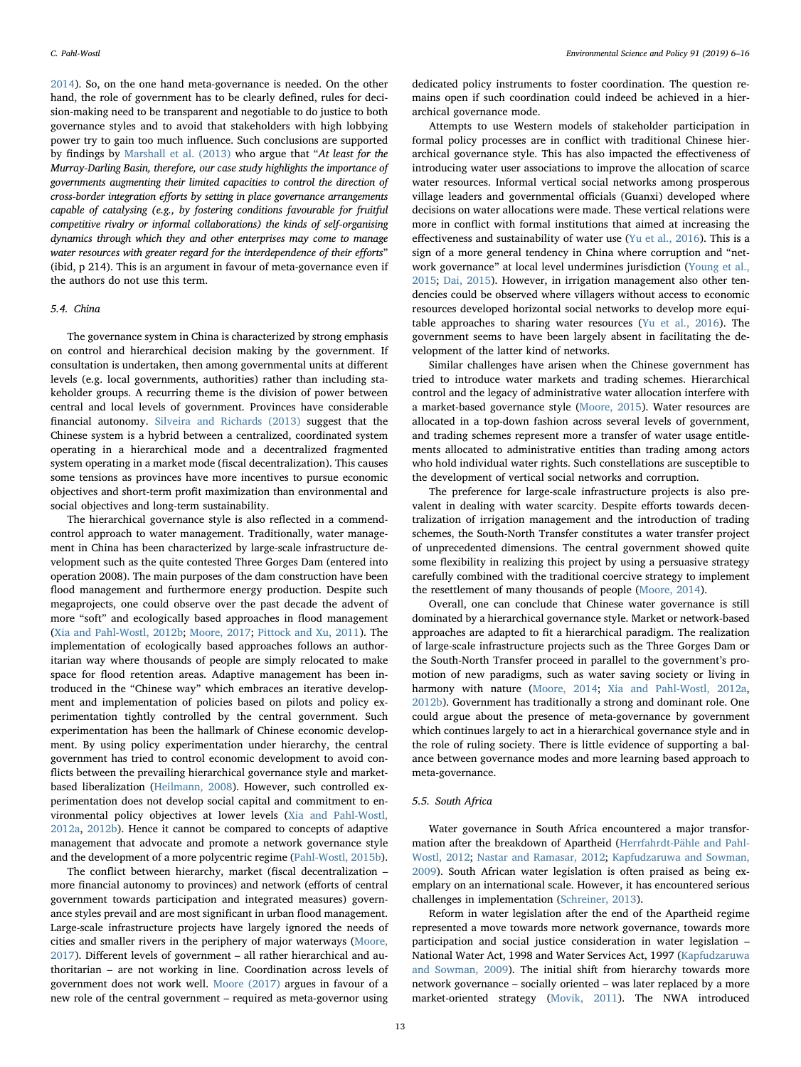[2014\)](#page-9-33). So, on the one hand meta-governance is needed. On the other hand, the role of government has to be clearly defined, rules for decision-making need to be transparent and negotiable to do justice to both governance styles and to avoid that stakeholders with high lobbying power try to gain too much influence. Such conclusions are supported by findings by [Marshall et al. \(2013\)](#page-9-31) who argue that "At least for the Murray-Darling Basin, therefore, our case study highlights the importance of governments augmenting their limited capacities to control the direction of cross-border integration efforts by setting in place governance arrangements capable of catalysing (e.g., by fostering conditions favourable for fruitful competitive rivalry or informal collaborations) the kinds of self-organising dynamics through which they and other enterprises may come to manage water resources with greater regard for the interdependence of their efforts" (ibid, p 214). This is an argument in favour of meta-governance even if the authors do not use this term.

#### 5.4. China

The governance system in China is characterized by strong emphasis on control and hierarchical decision making by the government. If consultation is undertaken, then among governmental units at different levels (e.g. local governments, authorities) rather than including stakeholder groups. A recurring theme is the division of power between central and local levels of government. Provinces have considerable financial autonomy. [Silveira and Richards \(2013\)](#page-10-27) suggest that the Chinese system is a hybrid between a centralized, coordinated system operating in a hierarchical mode and a decentralized fragmented system operating in a market mode (fiscal decentralization). This causes some tensions as provinces have more incentives to pursue economic objectives and short-term profit maximization than environmental and social objectives and long-term sustainability.

The hierarchical governance style is also reflected in a commendcontrol approach to water management. Traditionally, water management in China has been characterized by large-scale infrastructure development such as the quite contested Three Gorges Dam (entered into operation 2008). The main purposes of the dam construction have been flood management and furthermore energy production. Despite such megaprojects, one could observe over the past decade the advent of more "soft" and ecologically based approaches in flood management ([Xia and Pahl-Wostl, 2012b](#page-10-28); [Moore, 2017;](#page-9-35) [Pittock and Xu, 2011](#page-10-29)). The implementation of ecologically based approaches follows an authoritarian way where thousands of people are simply relocated to make space for flood retention areas. Adaptive management has been introduced in the "Chinese way" which embraces an iterative development and implementation of policies based on pilots and policy experimentation tightly controlled by the central government. Such experimentation has been the hallmark of Chinese economic development. By using policy experimentation under hierarchy, the central government has tried to control economic development to avoid conflicts between the prevailing hierarchical governance style and marketbased liberalization ([Heilmann, 2008\)](#page-9-36). However, such controlled experimentation does not develop social capital and commitment to environmental policy objectives at lower levels [\(Xia and Pahl-Wostl,](#page-10-30) [2012a,](#page-10-30) [2012b](#page-10-28)). Hence it cannot be compared to concepts of adaptive management that advocate and promote a network governance style and the development of a more polycentric regime ([Pahl-Wostl, 2015b](#page-10-1)).

The conflict between hierarchy, market (fiscal decentralization – more financial autonomy to provinces) and network (efforts of central government towards participation and integrated measures) governance styles prevail and are most significant in urban flood management. Large-scale infrastructure projects have largely ignored the needs of cities and smaller rivers in the periphery of major waterways ([Moore,](#page-9-35) [2017\)](#page-9-35). Different levels of government – all rather hierarchical and authoritarian – are not working in line. Coordination across levels of government does not work well. [Moore \(2017\)](#page-9-35) argues in favour of a new role of the central government – required as meta-governor using

dedicated policy instruments to foster coordination. The question remains open if such coordination could indeed be achieved in a hierarchical governance mode.

Attempts to use Western models of stakeholder participation in formal policy processes are in conflict with traditional Chinese hierarchical governance style. This has also impacted the effectiveness of introducing water user associations to improve the allocation of scarce water resources. Informal vertical social networks among prosperous village leaders and governmental officials (Guanxi) developed where decisions on water allocations were made. These vertical relations were more in conflict with formal institutions that aimed at increasing the effectiveness and sustainability of water use [\(Yu et al., 2016](#page-10-31)). This is a sign of a more general tendency in China where corruption and "network governance" at local level undermines jurisdiction [\(Young et al.,](#page-10-32) [2015;](#page-10-32) [Dai, 2015](#page-9-37)). However, in irrigation management also other tendencies could be observed where villagers without access to economic resources developed horizontal social networks to develop more equitable approaches to sharing water resources ([Yu et al., 2016](#page-10-31)). The government seems to have been largely absent in facilitating the development of the latter kind of networks.

Similar challenges have arisen when the Chinese government has tried to introduce water markets and trading schemes. Hierarchical control and the legacy of administrative water allocation interfere with a market-based governance style [\(Moore, 2015](#page-9-38)). Water resources are allocated in a top-down fashion across several levels of government, and trading schemes represent more a transfer of water usage entitlements allocated to administrative entities than trading among actors who hold individual water rights. Such constellations are susceptible to the development of vertical social networks and corruption.

The preference for large-scale infrastructure projects is also prevalent in dealing with water scarcity. Despite efforts towards decentralization of irrigation management and the introduction of trading schemes, the South-North Transfer constitutes a water transfer project of unprecedented dimensions. The central government showed quite some flexibility in realizing this project by using a persuasive strategy carefully combined with the traditional coercive strategy to implement the resettlement of many thousands of people ([Moore, 2014](#page-9-39)).

Overall, one can conclude that Chinese water governance is still dominated by a hierarchical governance style. Market or network-based approaches are adapted to fit a hierarchical paradigm. The realization of large-scale infrastructure projects such as the Three Gorges Dam or the South-North Transfer proceed in parallel to the government's promotion of new paradigms, such as water saving society or living in harmony with nature [\(Moore, 2014;](#page-9-39) [Xia and Pahl-Wostl, 2012a](#page-10-30), [2012b\)](#page-10-28). Government has traditionally a strong and dominant role. One could argue about the presence of meta-governance by government which continues largely to act in a hierarchical governance style and in the role of ruling society. There is little evidence of supporting a balance between governance modes and more learning based approach to meta-governance.

# 5.5. South Africa

Water governance in South Africa encountered a major transformation after the breakdown of Apartheid ([Herrfahrdt-Pähle and Pahl-](#page-9-40)[Wostl, 2012;](#page-9-40) [Nastar and Ramasar, 2012](#page-9-41); [Kapfudzaruwa and Sowman,](#page-9-42) [2009\)](#page-9-42). South African water legislation is often praised as being exemplary on an international scale. However, it has encountered serious challenges in implementation [\(Schreiner, 2013](#page-10-21)).

Reform in water legislation after the end of the Apartheid regime represented a move towards more network governance, towards more participation and social justice consideration in water legislation – National Water Act, 1998 and Water Services Act, 1997 ([Kapfudzaruwa](#page-9-42) [and Sowman, 2009\)](#page-9-42). The initial shift from hierarchy towards more network governance – socially oriented – was later replaced by a more market-oriented strategy ([Movik, 2011\)](#page-9-43). The NWA introduced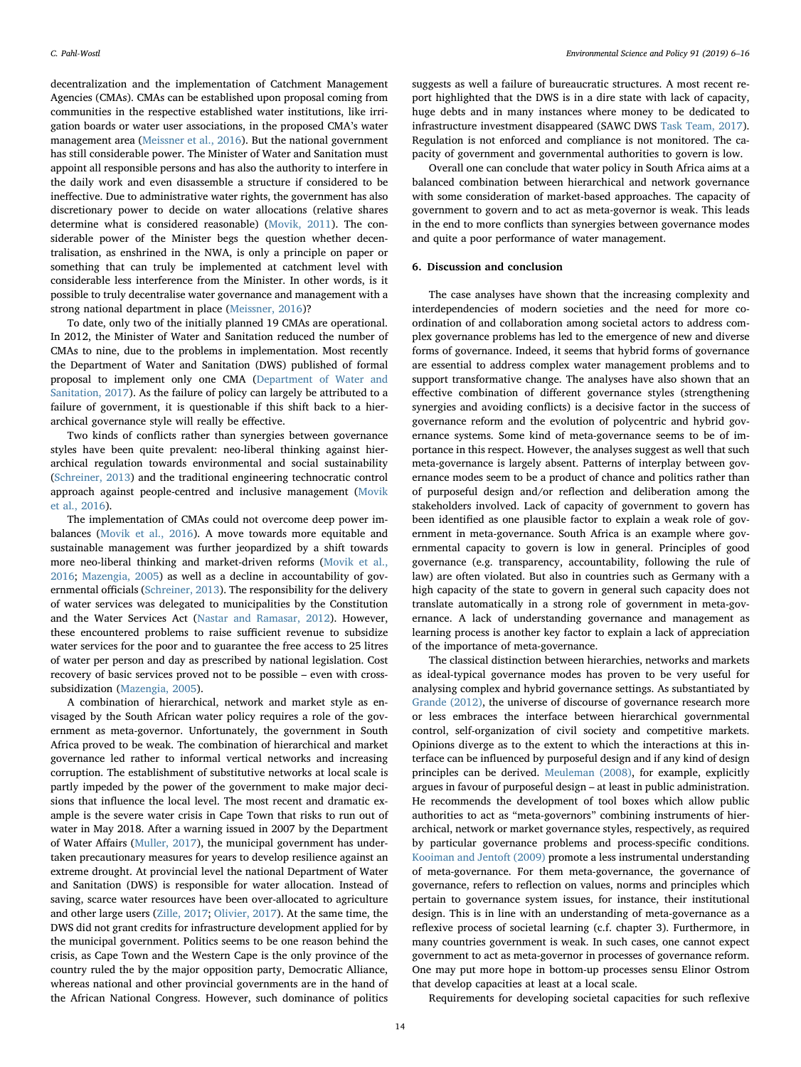decentralization and the implementation of Catchment Management Agencies (CMAs). CMAs can be established upon proposal coming from communities in the respective established water institutions, like irrigation boards or water user associations, in the proposed CMA's water management area ([Meissner et al., 2016\)](#page-9-44). But the national government has still considerable power. The Minister of Water and Sanitation must appoint all responsible persons and has also the authority to interfere in the daily work and even disassemble a structure if considered to be ineffective. Due to administrative water rights, the government has also discretionary power to decide on water allocations (relative shares determine what is considered reasonable) ([Movik, 2011\)](#page-9-43). The considerable power of the Minister begs the question whether decentralisation, as enshrined in the NWA, is only a principle on paper or something that can truly be implemented at catchment level with considerable less interference from the Minister. In other words, is it possible to truly decentralise water governance and management with a strong national department in place ([Meissner, 2016](#page-9-45))?

To date, only two of the initially planned 19 CMAs are operational. In 2012, the Minister of Water and Sanitation reduced the number of CMAs to nine, due to the problems in implementation. Most recently the Department of Water and Sanitation (DWS) published of formal proposal to implement only one CMA ([Department of Water and](#page-9-46) [Sanitation, 2017\)](#page-9-46). As the failure of policy can largely be attributed to a failure of government, it is questionable if this shift back to a hierarchical governance style will really be effective.

Two kinds of conflicts rather than synergies between governance styles have been quite prevalent: neo-liberal thinking against hierarchical regulation towards environmental and social sustainability ([Schreiner, 2013](#page-10-21)) and the traditional engineering technocratic control approach against people-centred and inclusive management [\(Movik](#page-9-17) [et al., 2016](#page-9-17)).

The implementation of CMAs could not overcome deep power imbalances ([Movik et al., 2016\)](#page-9-17). A move towards more equitable and sustainable management was further jeopardized by a shift towards more neo-liberal thinking and market-driven reforms ([Movik et al.,](#page-9-17) [2016;](#page-9-17) [Mazengia, 2005](#page-9-47)) as well as a decline in accountability of governmental officials ([Schreiner, 2013](#page-10-21)). The responsibility for the delivery of water services was delegated to municipalities by the Constitution and the Water Services Act ([Nastar and Ramasar, 2012](#page-9-41)). However, these encountered problems to raise sufficient revenue to subsidize water services for the poor and to guarantee the free access to 25 litres of water per person and day as prescribed by national legislation. Cost recovery of basic services proved not to be possible – even with crosssubsidization ([Mazengia, 2005](#page-9-47)).

A combination of hierarchical, network and market style as envisaged by the South African water policy requires a role of the government as meta-governor. Unfortunately, the government in South Africa proved to be weak. The combination of hierarchical and market governance led rather to informal vertical networks and increasing corruption. The establishment of substitutive networks at local scale is partly impeded by the power of the government to make major decisions that influence the local level. The most recent and dramatic example is the severe water crisis in Cape Town that risks to run out of water in May 2018. After a warning issued in 2007 by the Department of Water Affairs [\(Muller, 2017](#page-9-48)), the municipal government has undertaken precautionary measures for years to develop resilience against an extreme drought. At provincial level the national Department of Water and Sanitation (DWS) is responsible for water allocation. Instead of saving, scarce water resources have been over-allocated to agriculture and other large users ([Zille, 2017;](#page-10-33) [Olivier, 2017\)](#page-10-34). At the same time, the DWS did not grant credits for infrastructure development applied for by the municipal government. Politics seems to be one reason behind the crisis, as Cape Town and the Western Cape is the only province of the country ruled the by the major opposition party, Democratic Alliance, whereas national and other provincial governments are in the hand of the African National Congress. However, such dominance of politics suggests as well a failure of bureaucratic structures. A most recent report highlighted that the DWS is in a dire state with lack of capacity, huge debts and in many instances where money to be dedicated to infrastructure investment disappeared (SAWC DWS [Task Team, 2017](#page-10-35)). Regulation is not enforced and compliance is not monitored. The capacity of government and governmental authorities to govern is low.

Overall one can conclude that water policy in South Africa aims at a balanced combination between hierarchical and network governance with some consideration of market-based approaches. The capacity of government to govern and to act as meta-governor is weak. This leads in the end to more conflicts than synergies between governance modes and quite a poor performance of water management.

#### 6. Discussion and conclusion

The case analyses have shown that the increasing complexity and interdependencies of modern societies and the need for more coordination of and collaboration among societal actors to address complex governance problems has led to the emergence of new and diverse forms of governance. Indeed, it seems that hybrid forms of governance are essential to address complex water management problems and to support transformative change. The analyses have also shown that an effective combination of different governance styles (strengthening synergies and avoiding conflicts) is a decisive factor in the success of governance reform and the evolution of polycentric and hybrid governance systems. Some kind of meta-governance seems to be of importance in this respect. However, the analyses suggest as well that such meta-governance is largely absent. Patterns of interplay between governance modes seem to be a product of chance and politics rather than of purposeful design and/or reflection and deliberation among the stakeholders involved. Lack of capacity of government to govern has been identified as one plausible factor to explain a weak role of government in meta-governance. South Africa is an example where governmental capacity to govern is low in general. Principles of good governance (e.g. transparency, accountability, following the rule of law) are often violated. But also in countries such as Germany with a high capacity of the state to govern in general such capacity does not translate automatically in a strong role of government in meta-governance. A lack of understanding governance and management as learning process is another key factor to explain a lack of appreciation of the importance of meta-governance.

The classical distinction between hierarchies, networks and markets as ideal-typical governance modes has proven to be very useful for analysing complex and hybrid governance settings. As substantiated by [Grande \(2012\),](#page-9-49) the universe of discourse of governance research more or less embraces the interface between hierarchical governmental control, self-organization of civil society and competitive markets. Opinions diverge as to the extent to which the interactions at this interface can be influenced by purposeful design and if any kind of design principles can be derived. [Meuleman \(2008\),](#page-9-18) for example, explicitly argues in favour of purposeful design – at least in public administration. He recommends the development of tool boxes which allow public authorities to act as "meta-governors" combining instruments of hierarchical, network or market governance styles, respectively, as required by particular governance problems and process-specific conditions. [Kooiman and Jentoft \(2009\)](#page-9-50) promote a less instrumental understanding of meta-governance. For them meta-governance, the governance of governance, refers to reflection on values, norms and principles which pertain to governance system issues, for instance, their institutional design. This is in line with an understanding of meta-governance as a reflexive process of societal learning (c.f. chapter 3). Furthermore, in many countries government is weak. In such cases, one cannot expect government to act as meta-governor in processes of governance reform. One may put more hope in bottom-up processes sensu Elinor Ostrom that develop capacities at least at a local scale.

Requirements for developing societal capacities for such reflexive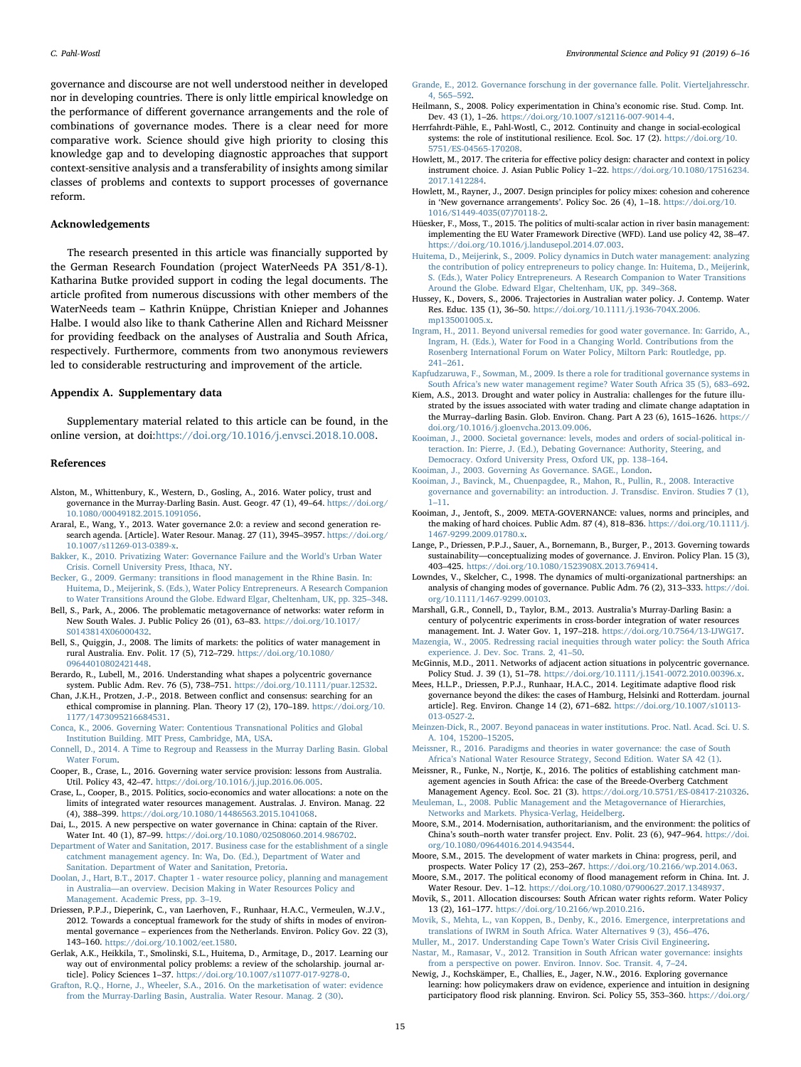governance and discourse are not well understood neither in developed nor in developing countries. There is only little empirical knowledge on the performance of different governance arrangements and the role of combinations of governance modes. There is a clear need for more comparative work. Science should give high priority to closing this knowledge gap and to developing diagnostic approaches that support context-sensitive analysis and a transferability of insights among similar classes of problems and contexts to support processes of governance reform.

# Acknowledgements

The research presented in this article was financially supported by the German Research Foundation (project WaterNeeds PA 351/8-1). Katharina Butke provided support in coding the legal documents. The article profited from numerous discussions with other members of the WaterNeeds team – Kathrin Knüppe, Christian Knieper and Johannes Halbe. I would also like to thank Catherine Allen and Richard Meissner for providing feedback on the analyses of Australia and South Africa, respectively. Furthermore, comments from two anonymous reviewers led to considerable restructuring and improvement of the article.

#### Appendix A. Supplementary data

Supplementary material related to this article can be found, in the online version, at doi:<https://doi.org/10.1016/j.envsci.2018.10.008>.

#### References

- <span id="page-9-27"></span>Alston, M., Whittenbury, K., Western, D., Gosling, A., 2016. Water policy, trust and governance in the Murray-Darling Basin. Aust. Geogr. 47 (1), 49–64. [https://doi.org/](https://doi.org/10.1080/00049182.2015.1091056) [10.1080/00049182.2015.1091056.](https://doi.org/10.1080/00049182.2015.1091056)
- <span id="page-9-3"></span>Araral, E., Wang, Y., 2013. Water governance 2.0: a review and second generation research agenda. [Article]. Water Resour. Manag. 27 (11), 3945–3957. [https://doi.org/](https://doi.org/10.1007/s11269-013-0389-x) [10.1007/s11269-013-0389-x](https://doi.org/10.1007/s11269-013-0389-x).
- <span id="page-9-1"></span>[Bakker, K., 2010. Privatizing Water: Governance Failure and the World](http://refhub.elsevier.com/S1462-9011(18)30152-7/sbref0015)'s Urban Water [Crisis. Cornell University Press, Ithaca, NY.](http://refhub.elsevier.com/S1462-9011(18)30152-7/sbref0015)
- <span id="page-9-22"></span>[Becker, G., 2009. Germany: transitions in](http://refhub.elsevier.com/S1462-9011(18)30152-7/sbref0020) flood management in the Rhine Basin. In: [Huitema, D., Meijerink, S. \(Eds.\), Water Policy Entrepreneurs. A Research Companion](http://refhub.elsevier.com/S1462-9011(18)30152-7/sbref0020) [to Water Transitions Around the Globe. Edward Elgar, Cheltenham, UK, pp. 325](http://refhub.elsevier.com/S1462-9011(18)30152-7/sbref0020)–348.
- <span id="page-9-30"></span>Bell, S., Park, A., 2006. The problematic metagovernance of networks: water reform in New South Wales. J. Public Policy 26 (01), 63–83. [https://doi.org/10.1017/](https://doi.org/10.1017/S0143814X06000432) [S0143814X06000432.](https://doi.org/10.1017/S0143814X06000432)
- <span id="page-9-15"></span>Bell, S., Quiggin, J., 2008. The limits of markets: the politics of water management in rural Australia. Env. Polit. 17 (5), 712–729. [https://doi.org/10.1080/](https://doi.org/10.1080/09644010802421448) [09644010802421448.](https://doi.org/10.1080/09644010802421448)
- <span id="page-9-19"></span>Berardo, R., Lubell, M., 2016. Understanding what shapes a polycentric governance system. Public Adm. Rev. 76 (5), 738–751. [https://doi.org/10.1111/puar.12532.](https://doi.org/10.1111/puar.12532)
- <span id="page-9-21"></span>Chan, J.K.H., Protzen, J.-P., 2018. Between conflict and consensus: searching for an ethical compromise in planning. Plan. Theory 17 (2), 170–189. [https://doi.org/10.](https://doi.org/10.1177/1473095216684531) [1177/1473095216684531](https://doi.org/10.1177/1473095216684531).
- <span id="page-9-14"></span>[Conca, K., 2006. Governing Water: Contentious Transnational Politics and Global](http://refhub.elsevier.com/S1462-9011(18)30152-7/sbref0045) [Institution Building. MIT Press, Cambridge, MA, USA](http://refhub.elsevier.com/S1462-9011(18)30152-7/sbref0045).
- <span id="page-9-33"></span>[Connell, D., 2014. A Time to Regroup and Reassess in the Murray Darling Basin. Global](http://refhub.elsevier.com/S1462-9011(18)30152-7/sbref0050) [Water Forum](http://refhub.elsevier.com/S1462-9011(18)30152-7/sbref0050).
- <span id="page-9-29"></span>Cooper, B., Crase, L., 2016. Governing water service provision: lessons from Australia. Util. Policy 43, 42–47. <https://doi.org/10.1016/j.jup.2016.06.005>.
- <span id="page-9-32"></span>Crase, L., Cooper, B., 2015. Politics, socio-economics and water allocations: a note on the limits of integrated water resources management. Australas. J. Environ. Manag. 22 (4), 388–399. <https://doi.org/10.1080/14486563.2015.1041068>.
- <span id="page-9-37"></span>Dai, L., 2015. A new perspective on water governance in China: captain of the River. Water Int. 40 (1), 87–99. <https://doi.org/10.1080/02508060.2014.986702>.
- <span id="page-9-46"></span>[Department of Water and Sanitation, 2017. Business case for the establishment of a single](http://refhub.elsevier.com/S1462-9011(18)30152-7/sbref0070) [catchment management agency. In: Wa, Do. \(Ed.\), Department of Water and](http://refhub.elsevier.com/S1462-9011(18)30152-7/sbref0070) [Sanitation. Department of Water and Sanitation, Pretoria](http://refhub.elsevier.com/S1462-9011(18)30152-7/sbref0070).
- <span id="page-9-28"></span>[Doolan, J., Hart, B.T., 2017. Chapter 1 - water resource policy, planning and management](http://refhub.elsevier.com/S1462-9011(18)30152-7/sbref0075) in Australia—[an overview. Decision Making in Water Resources Policy and](http://refhub.elsevier.com/S1462-9011(18)30152-7/sbref0075) [Management. Academic Press, pp. 3](http://refhub.elsevier.com/S1462-9011(18)30152-7/sbref0075)–19.
- <span id="page-9-12"></span>Driessen, P.P.J., Dieperink, C., van Laerhoven, F., Runhaar, H.A.C., Vermeulen, W.J.V., 2012. Towards a conceptual framework for the study of shifts in modes of environmental governance – experiences from the Netherlands. Environ. Policy Gov. 22 (3), 143–160. [https://doi.org/10.1002/eet.1580.](https://doi.org/10.1002/eet.1580)
- <span id="page-9-4"></span>Gerlak, A.K., Heikkila, T., Smolinski, S.L., Huitema, D., Armitage, D., 2017. Learning our way out of environmental policy problems: a review of the scholarship. journal article]. Policy Sciences 1–37. <https://doi.org/10.1007/s11077-017-9278-0>.
- <span id="page-9-16"></span>[Grafton, R.Q., Horne, J., Wheeler, S.A., 2016. On the marketisation of water: evidence](http://refhub.elsevier.com/S1462-9011(18)30152-7/sbref0090) [from the Murray-Darling Basin, Australia. Water Resour. Manag. 2 \(30\).](http://refhub.elsevier.com/S1462-9011(18)30152-7/sbref0090)
- <span id="page-9-49"></span>[Grande, E., 2012. Governance forschung in der governance falle. Polit. Vierteljahresschr.](http://refhub.elsevier.com/S1462-9011(18)30152-7/sbref0095) [4, 565](http://refhub.elsevier.com/S1462-9011(18)30152-7/sbref0095)–592.
- <span id="page-9-36"></span>Heilmann, S., 2008. Policy experimentation in China's economic rise. Stud. Comp. Int. Dev. 43 (1), 1–26. [https://doi.org/10.1007/s12116-007-9014-4.](https://doi.org/10.1007/s12116-007-9014-4)
- <span id="page-9-40"></span>Herrfahrdt-Pähle, E., Pahl-Wostl, C., 2012. Continuity and change in social-ecological systems: the role of institutional resilience. Ecol. Soc. 17 (2). [https://doi.org/10.](https://doi.org/10.5751/ES-04565-170208) [5751/ES-04565-170208.](https://doi.org/10.5751/ES-04565-170208)
- <span id="page-9-6"></span>Howlett, M., 2017. The criteria for effective policy design: character and context in policy instrument choice. J. Asian Public Policy 1–22. [https://doi.org/10.1080/17516234.](https://doi.org/10.1080/17516234.2017.1412284) [2017.1412284.](https://doi.org/10.1080/17516234.2017.1412284)
- <span id="page-9-7"></span>Howlett, M., Rayner, J., 2007. Design principles for policy mixes: cohesion and coherence in 'New governance arrangements'. Policy Soc. 26 (4), 1–18. [https://doi.org/10.](https://doi.org/10.1016/S1449-4035(07)70118-2) [1016/S1449-4035\(07\)70118-2.](https://doi.org/10.1016/S1449-4035(07)70118-2)
- <span id="page-9-24"></span>Hüesker, F., Moss, T., 2015. The politics of multi-scalar action in river basin management: implementing the EU Water Framework Directive (WFD). Land use policy 42, 38–47. <https://doi.org/10.1016/j.landusepol.2014.07.003>.
- <span id="page-9-20"></span>[Huitema, D., Meijerink, S., 2009. Policy dynamics in Dutch water management: analyzing](http://refhub.elsevier.com/S1462-9011(18)30152-7/sbref0125) [the contribution of policy entrepreneurs to policy change. In: Huitema, D., Meijerink,](http://refhub.elsevier.com/S1462-9011(18)30152-7/sbref0125) [S. \(Eds.\), Water Policy Entrepreneurs. A Research Companion to Water Transitions](http://refhub.elsevier.com/S1462-9011(18)30152-7/sbref0125) [Around the Globe. Edward Elgar, Cheltenham, UK, pp. 349](http://refhub.elsevier.com/S1462-9011(18)30152-7/sbref0125)–368.
- <span id="page-9-26"></span>Hussey, K., Dovers, S., 2006. Trajectories in Australian water policy. J. Contemp. Water Res. Educ. 135 (1), 36–50. [https://doi.org/10.1111/j.1936-704X.2006.](https://doi.org/10.1111/j.1936-704X.2006.mp135001005.x) [mp135001005.x.](https://doi.org/10.1111/j.1936-704X.2006.mp135001005.x)
- <span id="page-9-0"></span>[Ingram, H., 2011. Beyond universal remedies for good water governance. In: Garrido, A.,](http://refhub.elsevier.com/S1462-9011(18)30152-7/sbref0135) [Ingram, H. \(Eds.\), Water for Food in a Changing World. Contributions from the](http://refhub.elsevier.com/S1462-9011(18)30152-7/sbref0135) [Rosenberg International Forum on Water Policy, Miltorn Park: Routledge, pp.](http://refhub.elsevier.com/S1462-9011(18)30152-7/sbref0135) 241–[261](http://refhub.elsevier.com/S1462-9011(18)30152-7/sbref0135).
- <span id="page-9-42"></span>[Kapfudzaruwa, F., Sowman, M., 2009. Is there a role for traditional governance systems in](http://refhub.elsevier.com/S1462-9011(18)30152-7/sbref0140) South Africa'[s new water management regime? Water South Africa 35 \(5\), 683](http://refhub.elsevier.com/S1462-9011(18)30152-7/sbref0140)–692.
- <span id="page-9-34"></span>Kiem, A.S., 2013. Drought and water policy in Australia: challenges for the future illustrated by the issues associated with water trading and climate change adaptation in the Murray–darling Basin. Glob. Environ. Chang. Part A 23 (6), 1615–1626. [https://](https://doi.org/10.1016/j.gloenvcha.2013.09.006) [doi.org/10.1016/j.gloenvcha.2013.09.006](https://doi.org/10.1016/j.gloenvcha.2013.09.006).
- <span id="page-9-5"></span>[Kooiman, J., 2000. Societal governance: levels, modes and orders of social-political in](http://refhub.elsevier.com/S1462-9011(18)30152-7/sbref0150)[teraction. In: Pierre, J. \(Ed.\), Debating Governance: Authority, Steering, and](http://refhub.elsevier.com/S1462-9011(18)30152-7/sbref0150) [Democracy. Oxford University Press, Oxford UK, pp. 138](http://refhub.elsevier.com/S1462-9011(18)30152-7/sbref0150)–164.
- <span id="page-9-9"></span>[Kooiman, J., 2003. Governing As Governance. SAGE., London](http://refhub.elsevier.com/S1462-9011(18)30152-7/sbref0155).
- <span id="page-9-10"></span>[Kooiman, J., Bavinck, M., Chuenpagdee, R., Mahon, R., Pullin, R., 2008. Interactive](http://refhub.elsevier.com/S1462-9011(18)30152-7/sbref0160) [governance and governability: an introduction. J. Transdisc. Environ. Studies 7 \(1\),](http://refhub.elsevier.com/S1462-9011(18)30152-7/sbref0160) 1–[11.](http://refhub.elsevier.com/S1462-9011(18)30152-7/sbref0160)
- <span id="page-9-50"></span>Kooiman, J., Jentoft, S., 2009. META-GOVERNANCE: values, norms and principles, and the making of hard choices. Public Adm. 87 (4), 818–836. [https://doi.org/10.1111/j.](https://doi.org/10.1111/j.1467-9299.2009.01780.x) [1467-9299.2009.01780.x](https://doi.org/10.1111/j.1467-9299.2009.01780.x).
- <span id="page-9-11"></span>Lange, P., Driessen, P.P.J., Sauer, A., Bornemann, B., Burger, P., 2013. Governing towards sustainability—conceptualizing modes of governance. J. Environ. Policy Plan. 15 (3), 403–425. [https://doi.org/10.1080/1523908X.2013.769414.](https://doi.org/10.1080/1523908X.2013.769414)
- <span id="page-9-8"></span>Lowndes, V., Skelcher, C., 1998. The dynamics of multi-organizational partnerships: an analysis of changing modes of governance. Public Adm. 76 (2), 313–333. [https://doi.](https://doi.org/10.1111/1467-9299.00103) [org/10.1111/1467-9299.00103.](https://doi.org/10.1111/1467-9299.00103)
- <span id="page-9-31"></span>Marshall, G.R., Connell, D., Taylor, B.M., 2013. Australia's Murray-Darling Basin: a century of polycentric experiments in cross-border integration of water resources management. Int. J. Water Gov. 1, 197–218. [https://doi.org/10.7564/13-IJWG17.](https://doi.org/10.7564/13-IJWG17)
- <span id="page-9-47"></span>[Mazengia, W., 2005. Redressing racial inequities through water policy: the South Africa](http://refhub.elsevier.com/S1462-9011(18)30152-7/sbref0185) [experience. J. Dev. Soc. Trans. 2, 41](http://refhub.elsevier.com/S1462-9011(18)30152-7/sbref0185)–50.
- <span id="page-9-13"></span>McGinnis, M.D., 2011. Networks of adjacent action situations in polycentric governance. Policy Stud. J. 39 (1), 51–78. [https://doi.org/10.1111/j.1541-0072.2010.00396.x.](https://doi.org/10.1111/j.1541-0072.2010.00396.x)
- <span id="page-9-25"></span>Mees, H.L.P., Driessen, P.P.J., Runhaar, H.A.C., 2014. Legitimate adaptive flood risk governance beyond the dikes: the cases of Hamburg, Helsinki and Rotterdam. journal article]. Reg. Environ. Change 14 (2), 671–682. [https://doi.org/10.1007/s10113-](https://doi.org/10.1007/s10113-013-0527-2) [013-0527-2](https://doi.org/10.1007/s10113-013-0527-2).
- <span id="page-9-2"></span>[Meinzen-Dick, R., 2007. Beyond panaceas in water institutions. Proc. Natl. Acad. Sci. U. S.](http://refhub.elsevier.com/S1462-9011(18)30152-7/sbref0200) [A. 104, 15200](http://refhub.elsevier.com/S1462-9011(18)30152-7/sbref0200)–15205.
- <span id="page-9-45"></span>[Meissner, R., 2016. Paradigms and theories in water governance: the case of South](http://refhub.elsevier.com/S1462-9011(18)30152-7/sbref0205) Africa'[s National Water Resource Strategy, Second Edition. Water SA 42 \(1\)](http://refhub.elsevier.com/S1462-9011(18)30152-7/sbref0205).
- <span id="page-9-44"></span>Meissner, R., Funke, N., Nortje, K., 2016. The politics of establishing catchment management agencies in South Africa: the case of the Breede-Overberg Catchment Management Agency. Ecol. Soc. 21 (3). <https://doi.org/10.5751/ES-08417-210326>.
- <span id="page-9-18"></span>[Meuleman, L., 2008. Public Management and the Metagovernance of Hierarchies,](http://refhub.elsevier.com/S1462-9011(18)30152-7/sbref0215) [Networks and Markets. Physica-Verlag, Heidelberg](http://refhub.elsevier.com/S1462-9011(18)30152-7/sbref0215).
- <span id="page-9-39"></span>Moore, S.M., 2014. Modernisation, authoritarianism, and the environment: the politics of China's south–north water transfer project. Env. Polit. 23 (6), 947–964. [https://doi.](https://doi.org/10.1080/09644016.2014.943544) [org/10.1080/09644016.2014.943544.](https://doi.org/10.1080/09644016.2014.943544)
- <span id="page-9-38"></span>Moore, S.M., 2015. The development of water markets in China: progress, peril, and prospects. Water Policy 17 (2), 253–267. [https://doi.org/10.2166/wp.2014.063.](https://doi.org/10.2166/wp.2014.063)
- <span id="page-9-35"></span>Moore, S.M., 2017. The political economy of flood management reform in China. Int. J. Water Resour. Dev. 1–12. <https://doi.org/10.1080/07900627.2017.1348937>.
- <span id="page-9-43"></span>Movik, S., 2011. Allocation discourses: South African water rights reform. Water Policy 13 (2), 161–177. [https://doi.org/10.2166/wp.2010.216.](https://doi.org/10.2166/wp.2010.216)
- <span id="page-9-17"></span>Movik, [S., Mehta, L., van Koppen, B., Denby, K., 2016. Emergence, interpretations and](http://refhub.elsevier.com/S1462-9011(18)30152-7/sbref0240) [translations of IWRM in South Africa. Water Alternatives 9 \(3\), 456](http://refhub.elsevier.com/S1462-9011(18)30152-7/sbref0240)–476.

<span id="page-9-48"></span><span id="page-9-41"></span>[Muller, M., 2017. Understanding Cape Town](http://refhub.elsevier.com/S1462-9011(18)30152-7/sbref0245)'s Water Crisis Civil Engineering. [Nastar, M., Ramasar, V., 2012. Transition in South African water governance: insights](http://refhub.elsevier.com/S1462-9011(18)30152-7/sbref0250) [from a perspective on power. Environ. Innov. Soc. Transit. 4, 7](http://refhub.elsevier.com/S1462-9011(18)30152-7/sbref0250)–24.

<span id="page-9-23"></span>Newig, J., Kochskämper, E., Challies, E., Jager, N.W., 2016. Exploring governance learning: how policymakers draw on evidence, experience and intuition in designing participatory flood risk planning. Environ. Sci. Policy 55, 353-360. [https://doi.org/](https://doi.org/10.1016/j.envsci.2015.07.020)